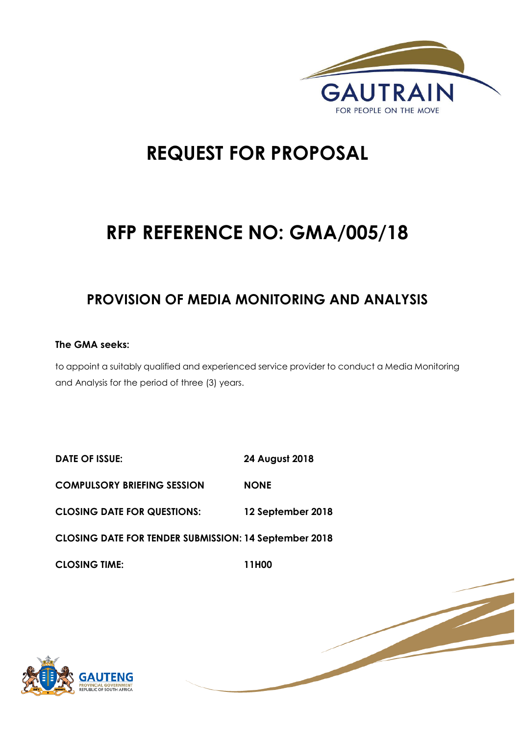

1 | P a g e

# **REQUEST FOR PROPOSAL**

# **RFP REFERENCE NO: GMA/005/18**

# **PROVISION OF MEDIA MONITORING AND ANALYSIS**

# **The GMA seeks:**

to appoint a suitably qualified and experienced service provider to conduct a Media Monitoring and Analysis for the period of three (3) years.

| <b>DATE OF ISSUE:</b>                                        | <b>24 August 2018</b> |
|--------------------------------------------------------------|-----------------------|
| <b>COMPULSORY BRIEFING SESSION</b>                           | <b>NONE</b>           |
| <b>CLOSING DATE FOR QUESTIONS:</b>                           | 12 September 2018     |
| <b>CLOSING DATE FOR TENDER SUBMISSION: 14 September 2018</b> |                       |
| <b>CLOSING TIME:</b>                                         | 11H00                 |

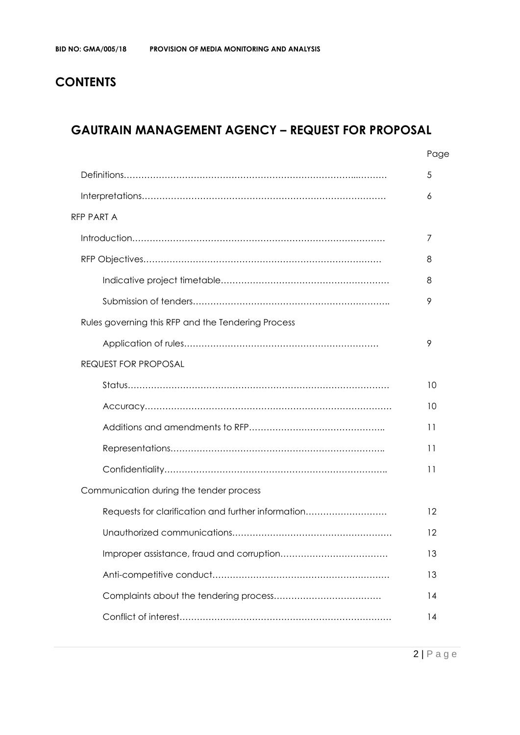# **CONTENTS**

# **GAUTRAIN MANAGEMENT AGENCY – REQUEST FOR PROPOSAL**

|                                                    | Page |
|----------------------------------------------------|------|
|                                                    | 5    |
|                                                    | 6    |
| <b>RFP PART A</b>                                  |      |
|                                                    | 7    |
|                                                    | 8    |
|                                                    | 8    |
|                                                    | 9    |
| Rules governing this RFP and the Tendering Process |      |
|                                                    | 9    |
| <b>REQUEST FOR PROPOSAL</b>                        |      |
|                                                    | 10   |
|                                                    | 10   |
|                                                    | 11   |
|                                                    | 11   |
|                                                    | 11   |
| Communication during the tender process            |      |
| Requests for clarification and further information | 12   |
|                                                    | 12   |
|                                                    | 13   |
|                                                    | 13   |
|                                                    | 14   |
|                                                    | 14   |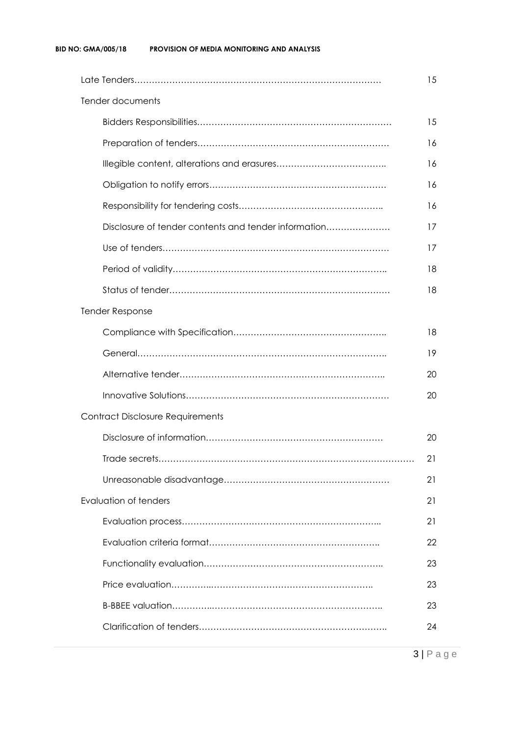|                                                      | 15 |
|------------------------------------------------------|----|
| Tender documents                                     |    |
|                                                      | 15 |
|                                                      | 16 |
|                                                      | 16 |
|                                                      | 16 |
|                                                      | 16 |
| Disclosure of tender contents and tender information | 17 |
|                                                      | 17 |
|                                                      | 18 |
|                                                      | 18 |
| <b>Tender Response</b>                               |    |
|                                                      | 18 |
|                                                      | 19 |
|                                                      | 20 |
|                                                      | 20 |
| <b>Contract Disclosure Requirements</b>              |    |
|                                                      | 20 |
|                                                      | 21 |
|                                                      | 21 |
| <b>Evaluation of tenders</b>                         | 21 |
|                                                      | 21 |
|                                                      | 22 |
|                                                      | 23 |
|                                                      | 23 |
|                                                      | 23 |
|                                                      | 24 |
|                                                      |    |

3 | P a g e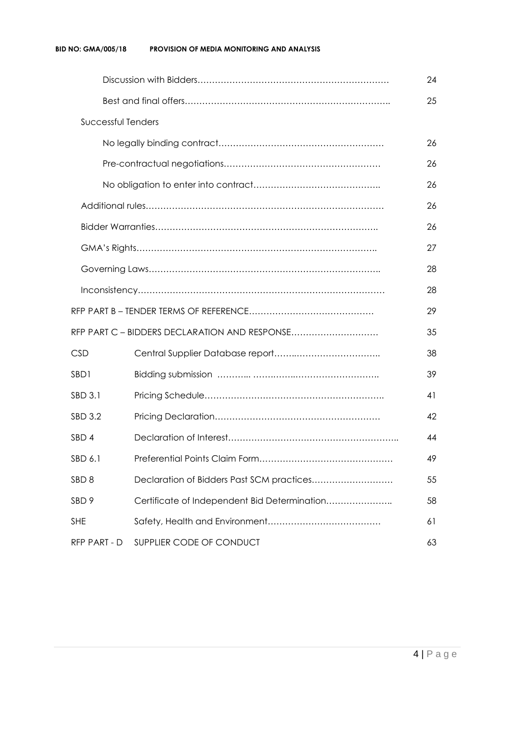|                    |                                               | 24 |  |  |  |  |
|--------------------|-----------------------------------------------|----|--|--|--|--|
|                    |                                               |    |  |  |  |  |
| Successful Tenders |                                               |    |  |  |  |  |
|                    |                                               | 26 |  |  |  |  |
|                    |                                               | 26 |  |  |  |  |
|                    |                                               | 26 |  |  |  |  |
|                    |                                               | 26 |  |  |  |  |
|                    |                                               | 26 |  |  |  |  |
|                    |                                               | 27 |  |  |  |  |
|                    |                                               | 28 |  |  |  |  |
|                    |                                               | 28 |  |  |  |  |
|                    |                                               | 29 |  |  |  |  |
|                    | RFP PART C - BIDDERS DECLARATION AND RESPONSE | 35 |  |  |  |  |
| <b>CSD</b>         |                                               | 38 |  |  |  |  |
| SBD1               |                                               | 39 |  |  |  |  |
| SBD 3.1            |                                               | 41 |  |  |  |  |
| SBD 3.2            |                                               | 42 |  |  |  |  |
| SBD <sub>4</sub>   |                                               | 44 |  |  |  |  |
| SBD 6.1            | 49                                            |    |  |  |  |  |
| SBD <sub>8</sub>   | Declaration of Bidders Past SCM practices     | 55 |  |  |  |  |
| SBD <sub>9</sub>   | Certificate of Independent Bid Determination  | 58 |  |  |  |  |
| <b>SHE</b>         |                                               | 61 |  |  |  |  |
| RFP PART - D       | SUPPLIER CODE OF CONDUCT                      | 63 |  |  |  |  |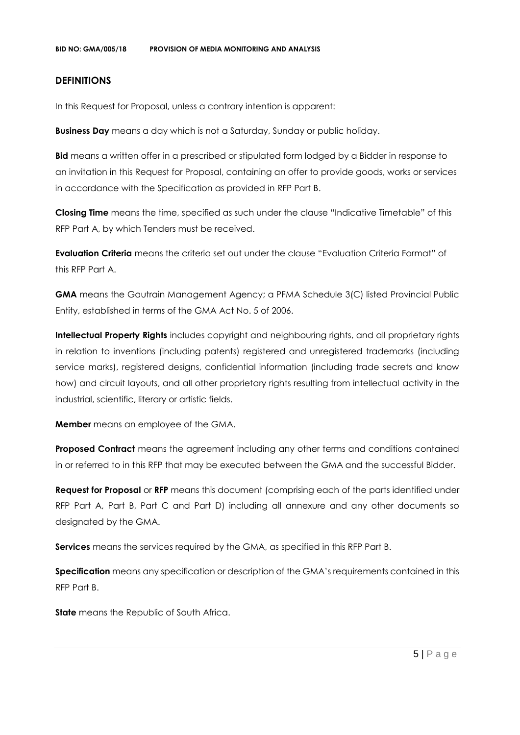#### **DEFINITIONS**

In this Request for Proposal, unless a contrary intention is apparent:

**Business Day** means a day which is not a Saturday, Sunday or public holiday.

**Bid** means a written offer in a prescribed or stipulated form lodged by a Bidder in response to an invitation in this Request for Proposal, containing an offer to provide goods, works or services in accordance with the Specification as provided in RFP Part B.

**Closing Time** means the time, specified as such under the clause "Indicative Timetable" of this RFP Part A, by which Tenders must be received.

**Evaluation Criteria** means the criteria set out under the clause "Evaluation Criteria Format" of this RFP Part A.

**GMA** means the Gautrain Management Agency; a PFMA Schedule 3(C) listed Provincial Public Entity, established in terms of the GMA Act No. 5 of 2006.

**Intellectual Property Rights** includes copyright and neighbouring rights, and all proprietary rights in relation to inventions (including patents) registered and unregistered trademarks (including service marks), registered designs, confidential information (including trade secrets and know how) and circuit layouts, and all other proprietary rights resulting from intellectual activity in the industrial, scientific, literary or artistic fields.

**Member** means an employee of the GMA.

**Proposed Contract** means the agreement including any other terms and conditions contained in or referred to in this RFP that may be executed between the GMA and the successful Bidder.

**Request for Proposal** or **RFP** means this document (comprising each of the parts identified under RFP Part A, Part B, Part C and Part D) including all annexure and any other documents so designated by the GMA.

**Services** means the services required by the GMA, as specified in this RFP Part B.

**Specification** means any specification or description of the GMA's requirements contained in this RFP Part B.

**State** means the Republic of South Africa.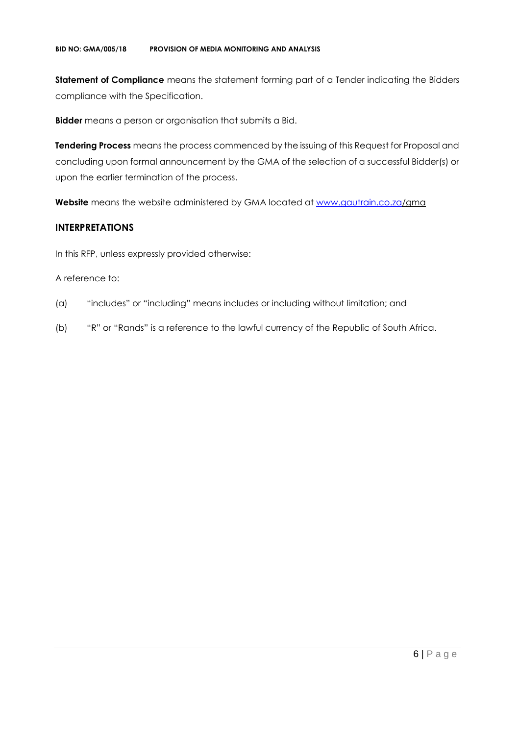**Statement of Compliance** means the statement forming part of a Tender indicating the Bidders compliance with the Specification.

**Bidder** means a person or organisation that submits a Bid.

**Tendering Process** means the process commenced by the issuing of this Request for Proposal and concluding upon formal announcement by the GMA of the selection of a successful Bidder(s) or upon the earlier termination of the process.

**Website** means the website administered by GMA located at [www.gautrain.co.za/](http://www.gautrain.co.za/)gma

## **INTERPRETATIONS**

In this RFP, unless expressly provided otherwise:

#### A reference to:

- (a) "includes" or "including" means includes or including without limitation; and
- (b) "R" or "Rands" is a reference to the lawful currency of the Republic of South Africa.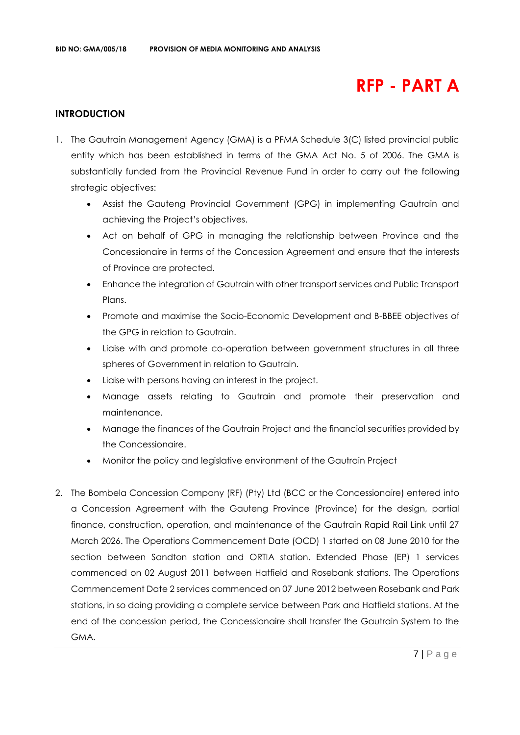# **RFP - PART A**

### **INTRODUCTION**

- 1. The Gautrain Management Agency (GMA) is a PFMA Schedule 3(C) listed provincial public entity which has been established in terms of the GMA Act No. 5 of 2006. The GMA is substantially funded from the Provincial Revenue Fund in order to carry out the following strategic objectives:
	- Assist the Gauteng Provincial Government (GPG) in implementing Gautrain and achieving the Project's objectives.
	- Act on behalf of GPG in managing the relationship between Province and the Concessionaire in terms of the Concession Agreement and ensure that the interests of Province are protected.
	- Enhance the integration of Gautrain with other transport services and Public Transport Plans.
	- Promote and maximise the Socio-Economic Development and B-BBEE objectives of the GPG in relation to Gautrain.
	- Liaise with and promote co-operation between government structures in all three spheres of Government in relation to Gautrain.
	- Liaise with persons having an interest in the project.
	- Manage assets relating to Gautrain and promote their preservation and maintenance.
	- Manage the finances of the Gautrain Project and the financial securities provided by the Concessionaire.
	- Monitor the policy and legislative environment of the Gautrain Project
- 2. The Bombela Concession Company (RF) (Pty) Ltd (BCC or the Concessionaire) entered into a Concession Agreement with the Gauteng Province (Province) for the design, partial finance, construction, operation, and maintenance of the Gautrain Rapid Rail Link until 27 March 2026. The Operations Commencement Date (OCD) 1 started on 08 June 2010 for the section between Sandton station and ORTIA station. Extended Phase (EP) 1 services commenced on 02 August 2011 between Hatfield and Rosebank stations. The Operations Commencement Date 2 services commenced on 07 June 2012 between Rosebank and Park stations, in so doing providing a complete service between Park and Hatfield stations. At the end of the concession period, the Concessionaire shall transfer the Gautrain System to the GMA.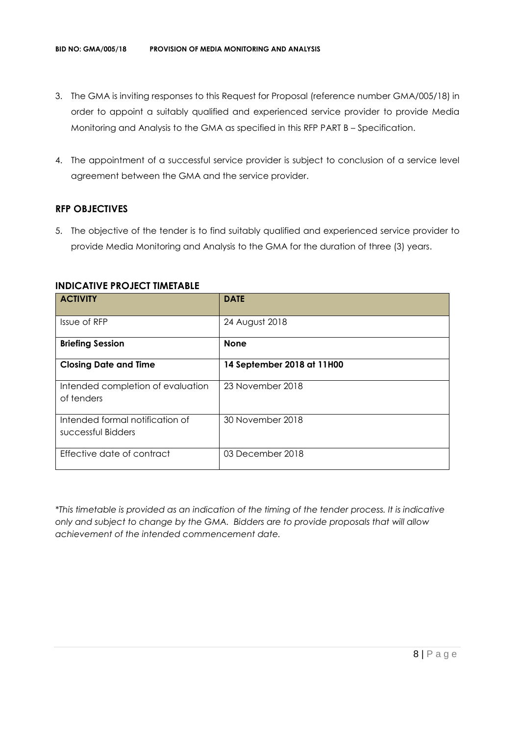- 3. The GMA is inviting responses to this Request for Proposal (reference number GMA/005/18) in order to appoint a suitably qualified and experienced service provider to provide Media Monitoring and Analysis to the GMA as specified in this RFP PART B – Specification.
- 4. The appointment of a successful service provider is subject to conclusion of a service level agreement between the GMA and the service provider.

#### **RFP OBJECTIVES**

5. The objective of the tender is to find suitably qualified and experienced service provider to provide Media Monitoring and Analysis to the GMA for the duration of three (3) years.

| <b>ACTIVITY</b>                                       | <b>DATE</b>                |
|-------------------------------------------------------|----------------------------|
| Issue of RFP                                          | 24 August 2018             |
| <b>Briefing Session</b>                               | <b>None</b>                |
| <b>Closing Date and Time</b>                          | 14 September 2018 at 11H00 |
| Intended completion of evaluation<br>of tenders       | 23 November 2018           |
| Intended formal notification of<br>successful Bidders | 30 November 2018           |
| Effective date of contract                            | 03 December 2018           |

#### **INDICATIVE PROJECT TIMETABLE**

*\*This timetable is provided as an indication of the timing of the tender process. It is indicative only and subject to change by the GMA. Bidders are to provide proposals that will allow achievement of the intended commencement date.*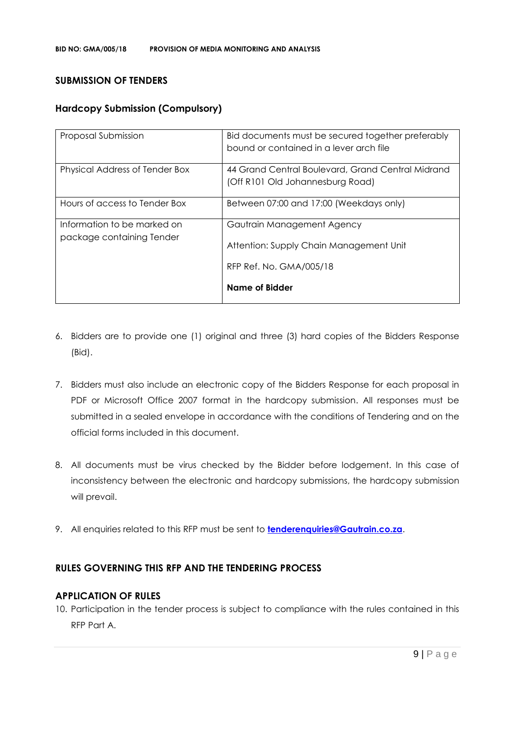#### **SUBMISSION OF TENDERS**

### **Hardcopy Submission (Compulsory)**

| Proposal Submission                                      | Bid documents must be secured together preferably<br>bound or contained in a lever arch file |
|----------------------------------------------------------|----------------------------------------------------------------------------------------------|
| Physical Address of Tender Box                           | 44 Grand Central Boulevard, Grand Central Midrand<br>(Off R101 Old Johannesburg Road)        |
| Hours of access to Tender Box                            | Between 07:00 and 17:00 (Weekdays only)                                                      |
| Information to be marked on<br>package containing Tender | Gautrain Management Agency<br>Attention: Supply Chain Management Unit                        |
|                                                          | RFP Ref. No. GMA/005/18<br><b>Name of Bidder</b>                                             |

- 6. Bidders are to provide one (1) original and three (3) hard copies of the Bidders Response (Bid).
- 7. Bidders must also include an electronic copy of the Bidders Response for each proposal in PDF or Microsoft Office 2007 format in the hardcopy submission. All responses must be submitted in a sealed envelope in accordance with the conditions of Tendering and on the official forms included in this document.
- 8. All documents must be virus checked by the Bidder before lodgement. In this case of inconsistency between the electronic and hardcopy submissions, the hardcopy submission will prevail.
- 9. All enquiries related to this RFP must be sent to **[tenderenquiries@Gautrain.co.za](mailto:tenderenquiries@Gautrain.co.za)**.

### **RULES GOVERNING THIS RFP AND THE TENDERING PROCESS**

#### **APPLICATION OF RULES**

10. Participation in the tender process is subject to compliance with the rules contained in this RFP Part A.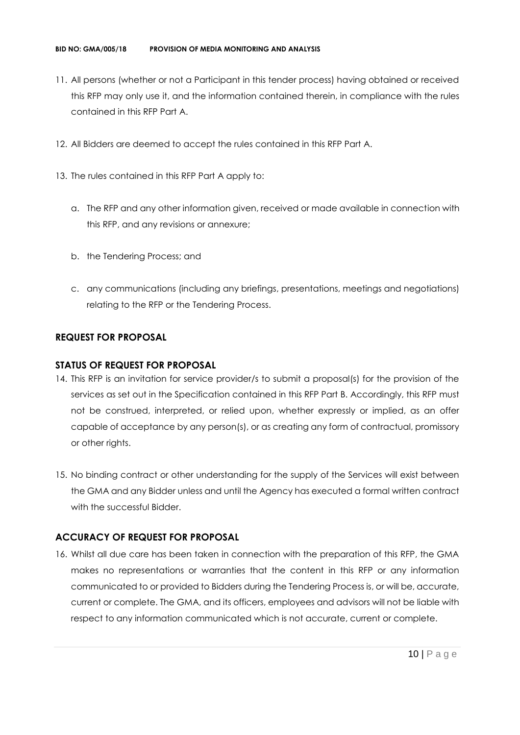- 11. All persons (whether or not a Participant in this tender process) having obtained or received this RFP may only use it, and the information contained therein, in compliance with the rules contained in this RFP Part A.
- 12. All Bidders are deemed to accept the rules contained in this RFP Part A.
- 13. The rules contained in this RFP Part A apply to:
	- a. The RFP and any other information given, received or made available in connection with this RFP, and any revisions or annexure;
	- b. the Tendering Process; and
	- c. any communications (including any briefings, presentations, meetings and negotiations) relating to the RFP or the Tendering Process.

#### **REQUEST FOR PROPOSAL**

#### **STATUS OF REQUEST FOR PROPOSAL**

- 14. This RFP is an invitation for service provider/s to submit a proposal(s) for the provision of the services as set out in the Specification contained in this RFP Part B. Accordingly, this RFP must not be construed, interpreted, or relied upon, whether expressly or implied, as an offer capable of acceptance by any person(s), or as creating any form of contractual, promissory or other rights.
- 15. No binding contract or other understanding for the supply of the Services will exist between the GMA and any Bidder unless and until the Agency has executed a formal written contract with the successful Bidder.

#### **ACCURACY OF REQUEST FOR PROPOSAL**

16. Whilst all due care has been taken in connection with the preparation of this RFP, the GMA makes no representations or warranties that the content in this RFP or any information communicated to or provided to Bidders during the Tendering Process is, or will be, accurate, current or complete. The GMA, and its officers, employees and advisors will not be liable with respect to any information communicated which is not accurate, current or complete.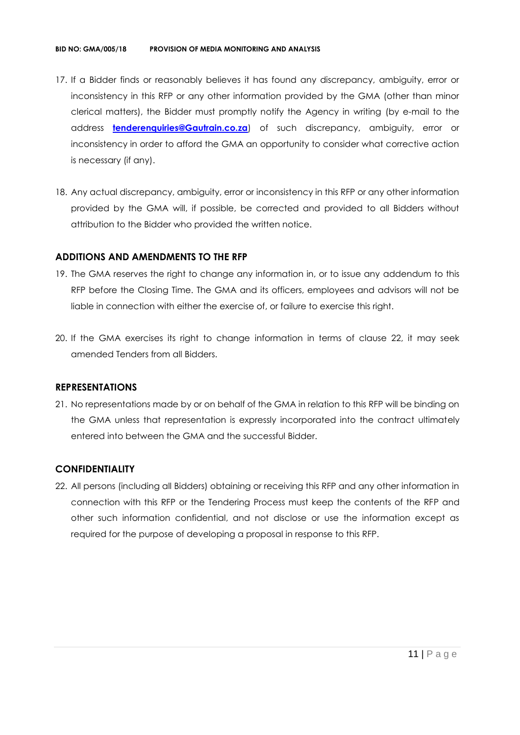- 17. If a Bidder finds or reasonably believes it has found any discrepancy, ambiguity, error or inconsistency in this RFP or any other information provided by the GMA (other than minor clerical matters), the Bidder must promptly notify the Agency in writing (by e-mail to the address **[tenderenquiries@Gautrain.co.za](mailto:tenderenquiries@gautrainpo.co.za)**) of such discrepancy, ambiguity, error or inconsistency in order to afford the GMA an opportunity to consider what corrective action is necessary (if any).
- 18. Any actual discrepancy, ambiguity, error or inconsistency in this RFP or any other information provided by the GMA will, if possible, be corrected and provided to all Bidders without attribution to the Bidder who provided the written notice.

### **ADDITIONS AND AMENDMENTS TO THE RFP**

- 19. The GMA reserves the right to change any information in, or to issue any addendum to this RFP before the Closing Time. The GMA and its officers, employees and advisors will not be liable in connection with either the exercise of, or failure to exercise this right.
- 20. If the GMA exercises its right to change information in terms of clause 22, it may seek amended Tenders from all Bidders.

#### **REPRESENTATIONS**

21. No representations made by or on behalf of the GMA in relation to this RFP will be binding on the GMA unless that representation is expressly incorporated into the contract ultimately entered into between the GMA and the successful Bidder.

# **CONFIDENTIALITY**

22. All persons (including all Bidders) obtaining or receiving this RFP and any other information in connection with this RFP or the Tendering Process must keep the contents of the RFP and other such information confidential, and not disclose or use the information except as required for the purpose of developing a proposal in response to this RFP.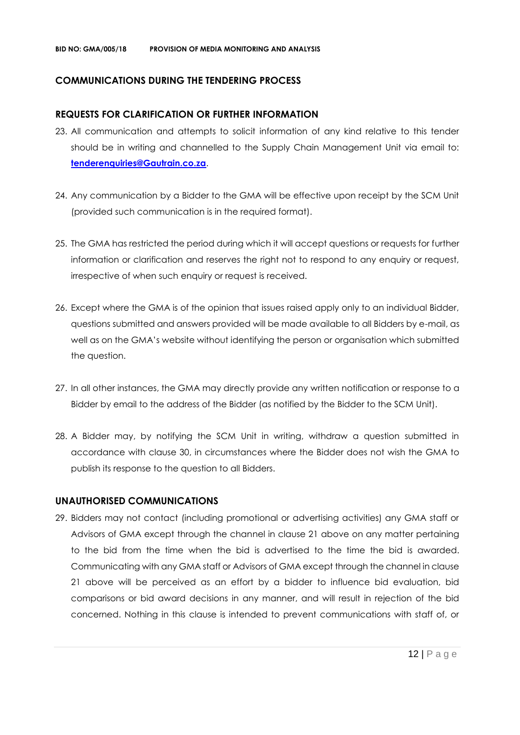#### **COMMUNICATIONS DURING THE TENDERING PROCESS**

#### **REQUESTS FOR CLARIFICATION OR FURTHER INFORMATION**

- 23. All communication and attempts to solicit information of any kind relative to this tender should be in writing and channelled to the Supply Chain Management Unit via email to: **[tenderenquiries@Gautrain.co.za](mailto:tenderenquiries@gautrainpo.co.za)**.
- 24. Any communication by a Bidder to the GMA will be effective upon receipt by the SCM Unit (provided such communication is in the required format).
- 25. The GMA has restricted the period during which it will accept questions or requests for further information or clarification and reserves the right not to respond to any enquiry or request, irrespective of when such enquiry or request is received.
- 26. Except where the GMA is of the opinion that issues raised apply only to an individual Bidder, questions submitted and answers provided will be made available to all Bidders by e-mail, as well as on the GMA's website without identifying the person or organisation which submitted the question.
- 27. In all other instances, the GMA may directly provide any written notification or response to a Bidder by email to the address of the Bidder (as notified by the Bidder to the SCM Unit).
- 28. A Bidder may, by notifying the SCM Unit in writing, withdraw a question submitted in accordance with clause 30, in circumstances where the Bidder does not wish the GMA to publish its response to the question to all Bidders.

#### **UNAUTHORISED COMMUNICATIONS**

29. Bidders may not contact (including promotional or advertising activities) any GMA staff or Advisors of GMA except through the channel in clause 21 above on any matter pertaining to the bid from the time when the bid is advertised to the time the bid is awarded. Communicating with any GMA staff or Advisors of GMA except through the channel in clause 21 above will be perceived as an effort by a bidder to influence bid evaluation, bid comparisons or bid award decisions in any manner, and will result in rejection of the bid concerned. Nothing in this clause is intended to prevent communications with staff of, or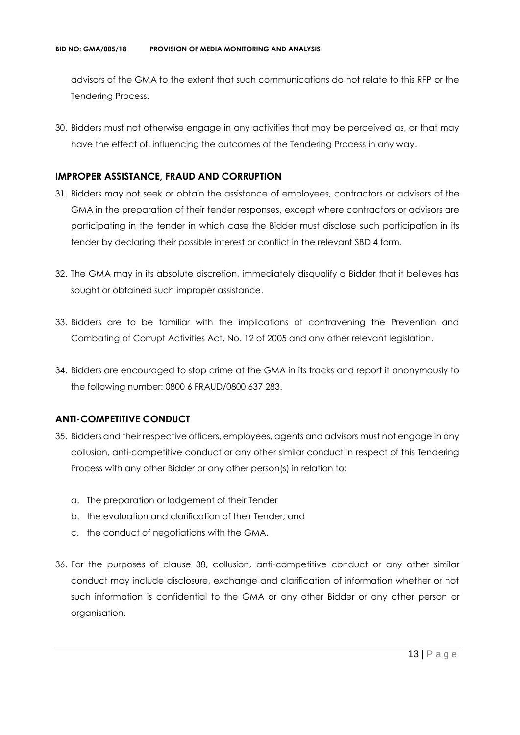advisors of the GMA to the extent that such communications do not relate to this RFP or the Tendering Process.

30. Bidders must not otherwise engage in any activities that may be perceived as, or that may have the effect of, influencing the outcomes of the Tendering Process in any way.

### **IMPROPER ASSISTANCE, FRAUD AND CORRUPTION**

- 31. Bidders may not seek or obtain the assistance of employees, contractors or advisors of the GMA in the preparation of their tender responses, except where contractors or advisors are participating in the tender in which case the Bidder must disclose such participation in its tender by declaring their possible interest or conflict in the relevant SBD 4 form.
- 32. The GMA may in its absolute discretion, immediately disqualify a Bidder that it believes has sought or obtained such improper assistance.
- 33. Bidders are to be familiar with the implications of contravening the Prevention and Combating of Corrupt Activities Act, No. 12 of 2005 and any other relevant legislation.
- 34. Bidders are encouraged to stop crime at the GMA in its tracks and report it anonymously to the following number: 0800 6 FRAUD/0800 637 283.

# **ANTI-COMPETITIVE CONDUCT**

- 35. Bidders and their respective officers, employees, agents and advisors must not engage in any collusion, anti-competitive conduct or any other similar conduct in respect of this Tendering Process with any other Bidder or any other person(s) in relation to:
	- a. The preparation or lodgement of their Tender
	- b. the evaluation and clarification of their Tender; and
	- c. the conduct of negotiations with the GMA.
- 36. For the purposes of clause 38, collusion, anti-competitive conduct or any other similar conduct may include disclosure, exchange and clarification of information whether or not such information is confidential to the GMA or any other Bidder or any other person or organisation.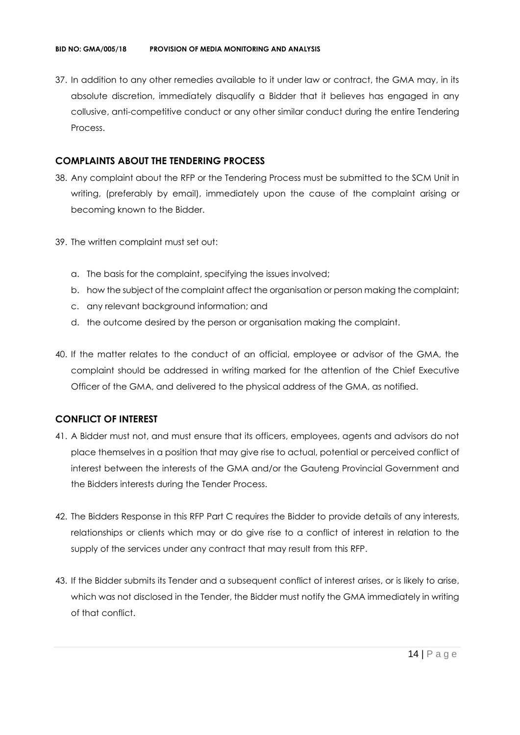37. In addition to any other remedies available to it under law or contract, the GMA may, in its absolute discretion, immediately disqualify a Bidder that it believes has engaged in any collusive, anti-competitive conduct or any other similar conduct during the entire Tendering Process.

### **COMPLAINTS ABOUT THE TENDERING PROCESS**

- 38. Any complaint about the RFP or the Tendering Process must be submitted to the SCM Unit in writing, (preferably by email), immediately upon the cause of the complaint arising or becoming known to the Bidder.
- 39. The written complaint must set out:
	- a. The basis for the complaint, specifying the issues involved;
	- b. how the subject of the complaint affect the organisation or person making the complaint;
	- c. any relevant background information; and
	- d. the outcome desired by the person or organisation making the complaint.
- 40. If the matter relates to the conduct of an official, employee or advisor of the GMA, the complaint should be addressed in writing marked for the attention of the Chief Executive Officer of the GMA, and delivered to the physical address of the GMA, as notified.

# **CONFLICT OF INTEREST**

- 41. A Bidder must not, and must ensure that its officers, employees, agents and advisors do not place themselves in a position that may give rise to actual, potential or perceived conflict of interest between the interests of the GMA and/or the Gauteng Provincial Government and the Bidders interests during the Tender Process.
- 42. The Bidders Response in this RFP Part C requires the Bidder to provide details of any interests, relationships or clients which may or do give rise to a conflict of interest in relation to the supply of the services under any contract that may result from this RFP.
- 43. If the Bidder submits its Tender and a subsequent conflict of interest arises, or is likely to arise, which was not disclosed in the Tender, the Bidder must notify the GMA immediately in writing of that conflict.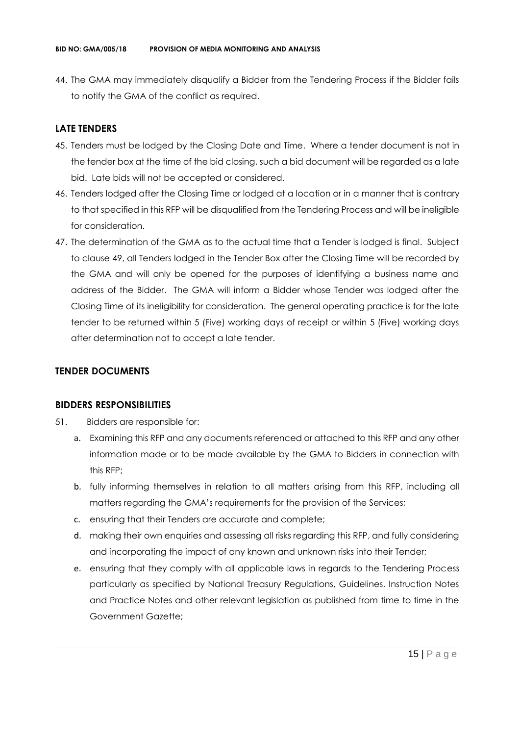44. The GMA may immediately disqualify a Bidder from the Tendering Process if the Bidder fails to notify the GMA of the conflict as required.

### **LATE TENDERS**

- 45. Tenders must be lodged by the Closing Date and Time. Where a tender document is not in the tender box at the time of the bid closing, such a bid document will be regarded as a late bid. Late bids will not be accepted or considered.
- 46. Tenders lodged after the Closing Time or lodged at a location or in a manner that is contrary to that specified in this RFP will be disqualified from the Tendering Process and will be ineligible for consideration.
- 47. The determination of the GMA as to the actual time that a Tender is lodged is final. Subject to clause 49, all Tenders lodged in the Tender Box after the Closing Time will be recorded by the GMA and will only be opened for the purposes of identifying a business name and address of the Bidder. The GMA will inform a Bidder whose Tender was lodged after the Closing Time of its ineligibility for consideration. The general operating practice is for the late tender to be returned within 5 (Five) working days of receipt or within 5 (Five) working days after determination not to accept a late tender.

#### **TENDER DOCUMENTS**

#### **BIDDERS RESPONSIBILITIES**

- 51. Bidders are responsible for:
	- a. Examining this RFP and any documents referenced or attached to this RFP and any other information made or to be made available by the GMA to Bidders in connection with this RFP;
	- b. fully informing themselves in relation to all matters arising from this RFP, including all matters regarding the GMA's requirements for the provision of the Services;
	- c. ensuring that their Tenders are accurate and complete;
	- d. making their own enquiries and assessing all risks regarding this RFP, and fully considering and incorporating the impact of any known and unknown risks into their Tender;
	- e. ensuring that they comply with all applicable laws in regards to the Tendering Process particularly as specified by National Treasury Regulations, Guidelines, Instruction Notes and Practice Notes and other relevant legislation as published from time to time in the Government Gazette;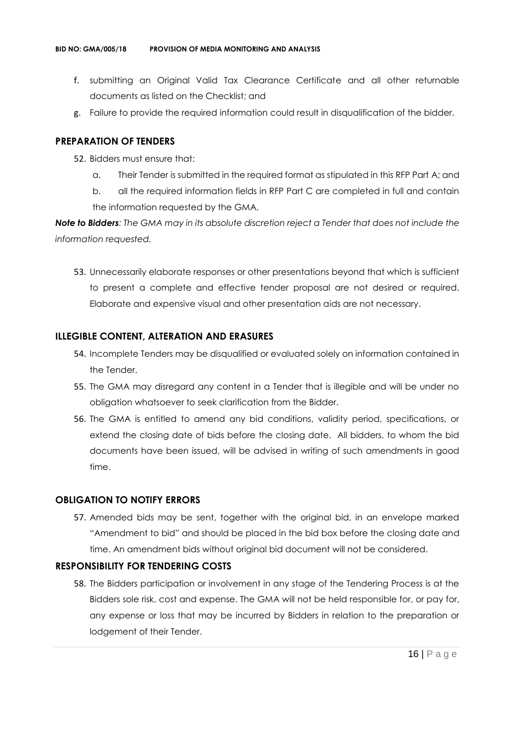- f. submitting an Original Valid Tax Clearance Certificate and all other returnable documents as listed on the Checklist; and
- g. Failure to provide the required information could result in disqualification of the bidder.

#### **PREPARATION OF TENDERS**

- 52. Bidders must ensure that:
	- a. Their Tender is submitted in the required format as stipulated in this RFP Part A; and
	- b. all the required information fields in RFP Part C are completed in full and contain the information requested by the GMA.

*Note to Bidders: The GMA may in its absolute discretion reject a Tender that does not include the information requested.*

53. Unnecessarily elaborate responses or other presentations beyond that which is sufficient to present a complete and effective tender proposal are not desired or required. Elaborate and expensive visual and other presentation aids are not necessary.

#### **ILLEGIBLE CONTENT, ALTERATION AND ERASURES**

- 54. Incomplete Tenders may be disqualified or evaluated solely on information contained in the Tender.
- 55. The GMA may disregard any content in a Tender that is illegible and will be under no obligation whatsoever to seek clarification from the Bidder.
- 56. The GMA is entitled to amend any bid conditions, validity period, specifications, or extend the closing date of bids before the closing date. All bidders, to whom the bid documents have been issued, will be advised in writing of such amendments in good time.

#### **OBLIGATION TO NOTIFY ERRORS**

57. Amended bids may be sent, together with the original bid, in an envelope marked "Amendment to bid" and should be placed in the bid box before the closing date and time. An amendment bids without original bid document will not be considered.

#### **RESPONSIBILITY FOR TENDERING COSTS**

58. The Bidders participation or involvement in any stage of the Tendering Process is at the Bidders sole risk, cost and expense. The GMA will not be held responsible for, or pay for, any expense or loss that may be incurred by Bidders in relation to the preparation or lodgement of their Tender.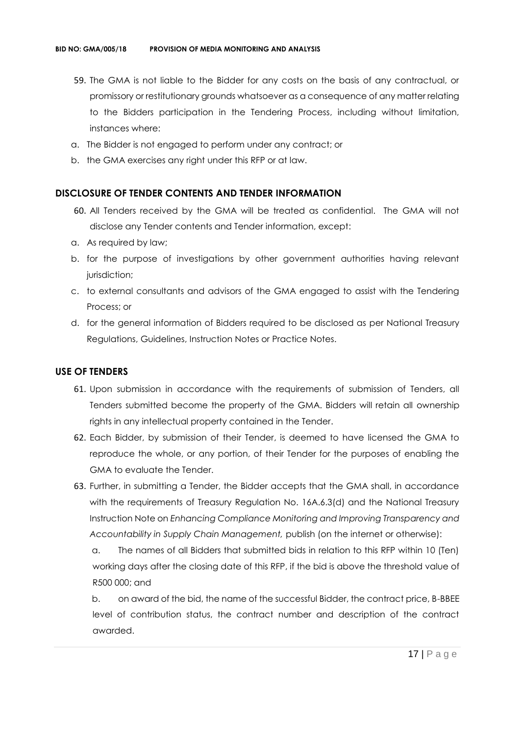- 59. The GMA is not liable to the Bidder for any costs on the basis of any contractual, or promissory or restitutionary grounds whatsoever as a consequence of any matter relating to the Bidders participation in the Tendering Process, including without limitation, instances where:
- a. The Bidder is not engaged to perform under any contract; or
- b. the GMA exercises any right under this RFP or at law.

#### **DISCLOSURE OF TENDER CONTENTS AND TENDER INFORMATION**

- 60. All Tenders received by the GMA will be treated as confidential. The GMA will not disclose any Tender contents and Tender information, except:
- a. As required by law;
- b. for the purpose of investigations by other government authorities having relevant jurisdiction;
- c. to external consultants and advisors of the GMA engaged to assist with the Tendering Process; or
- d. for the general information of Bidders required to be disclosed as per National Treasury Regulations, Guidelines, Instruction Notes or Practice Notes.

### **USE OF TENDERS**

- 61. Upon submission in accordance with the requirements of submission of Tenders, all Tenders submitted become the property of the GMA. Bidders will retain all ownership rights in any intellectual property contained in the Tender.
- 62. Each Bidder, by submission of their Tender, is deemed to have licensed the GMA to reproduce the whole, or any portion, of their Tender for the purposes of enabling the GMA to evaluate the Tender.
- 63. Further, in submitting a Tender, the Bidder accepts that the GMA shall, in accordance with the requirements of Treasury Regulation No. 16A.6.3(d) and the National Treasury Instruction Note on *Enhancing Compliance Monitoring and Improving Transparency and Accountability in Supply Chain Management,* publish (on the internet or otherwise):

a. The names of all Bidders that submitted bids in relation to this RFP within 10 (Ten) working days after the closing date of this RFP, if the bid is above the threshold value of R500 000; and

b. on award of the bid, the name of the successful Bidder, the contract price, B-BBEE level of contribution status, the contract number and description of the contract awarded.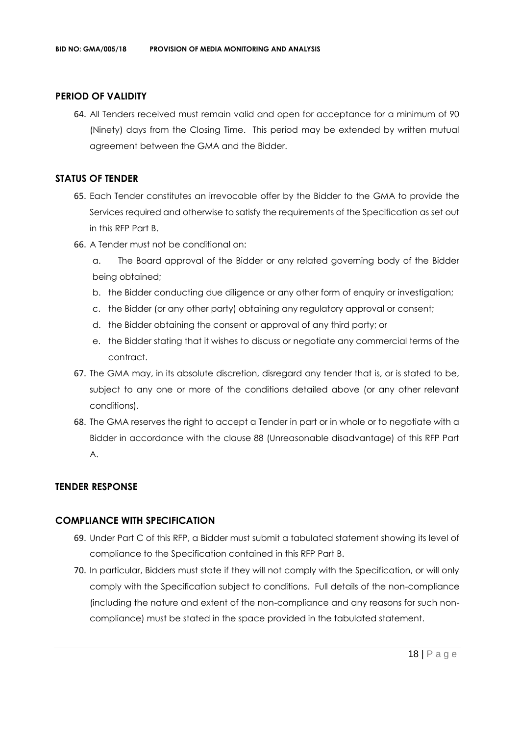#### **PERIOD OF VALIDITY**

64. All Tenders received must remain valid and open for acceptance for a minimum of 90 (Ninety) days from the Closing Time. This period may be extended by written mutual agreement between the GMA and the Bidder.

#### **STATUS OF TENDER**

- 65. Each Tender constitutes an irrevocable offer by the Bidder to the GMA to provide the Services required and otherwise to satisfy the requirements of the Specification as set out in this RFP Part B.
- 66. A Tender must not be conditional on:
	- a. The Board approval of the Bidder or any related governing body of the Bidder being obtained;
	- b. the Bidder conducting due diligence or any other form of enquiry or investigation;
	- c. the Bidder (or any other party) obtaining any regulatory approval or consent;
	- d. the Bidder obtaining the consent or approval of any third party; or
	- e. the Bidder stating that it wishes to discuss or negotiate any commercial terms of the contract.
- 67. The GMA may, in its absolute discretion, disregard any tender that is, or is stated to be, subject to any one or more of the conditions detailed above (or any other relevant conditions).
- 68. The GMA reserves the right to accept a Tender in part or in whole or to negotiate with a Bidder in accordance with the clause 88 (Unreasonable disadvantage) of this RFP Part A.

#### **TENDER RESPONSE**

### **COMPLIANCE WITH SPECIFICATION**

- 69. Under Part C of this RFP, a Bidder must submit a tabulated statement showing its level of compliance to the Specification contained in this RFP Part B.
- 70. In particular, Bidders must state if they will not comply with the Specification, or will only comply with the Specification subject to conditions. Full details of the non-compliance (including the nature and extent of the non-compliance and any reasons for such noncompliance) must be stated in the space provided in the tabulated statement.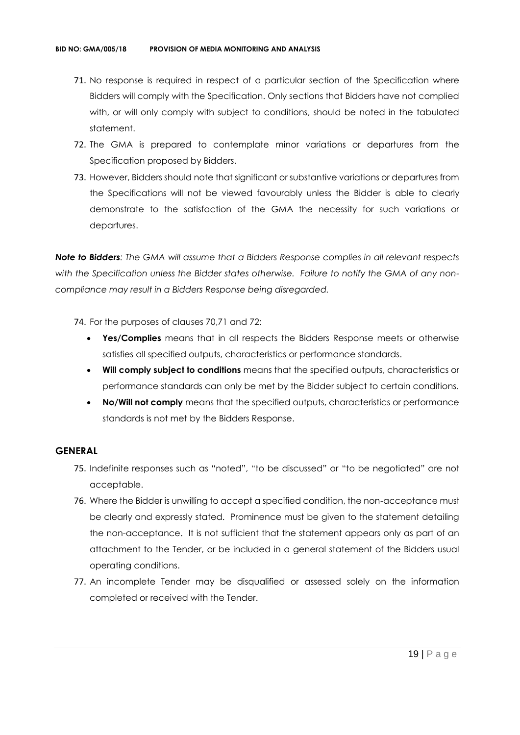- 71. No response is required in respect of a particular section of the Specification where Bidders will comply with the Specification. Only sections that Bidders have not complied with, or will only comply with subject to conditions, should be noted in the tabulated statement.
- 72. The GMA is prepared to contemplate minor variations or departures from the Specification proposed by Bidders.
- 73. However, Bidders should note that significant or substantive variations or departures from the Specifications will not be viewed favourably unless the Bidder is able to clearly demonstrate to the satisfaction of the GMA the necessity for such variations or departures.

*Note to Bidders: The GMA will assume that a Bidders Response complies in all relevant respects with the Specification unless the Bidder states otherwise. Failure to notify the GMA of any noncompliance may result in a Bidders Response being disregarded.*

- 74. For the purposes of clauses 70,71 and 72:
	- **Yes/Complies** means that in all respects the Bidders Response meets or otherwise satisfies all specified outputs, characteristics or performance standards.
	- **Will comply subject to conditions** means that the specified outputs, characteristics or performance standards can only be met by the Bidder subject to certain conditions.
	- **No/Will not comply** means that the specified outputs, characteristics or performance standards is not met by the Bidders Response.

#### **GENERAL**

- 75. Indefinite responses such as "noted", "to be discussed" or "to be negotiated" are not acceptable.
- 76. Where the Bidder is unwilling to accept a specified condition, the non-acceptance must be clearly and expressly stated. Prominence must be given to the statement detailing the non-acceptance. It is not sufficient that the statement appears only as part of an attachment to the Tender, or be included in a general statement of the Bidders usual operating conditions.
- 77. An incomplete Tender may be disqualified or assessed solely on the information completed or received with the Tender.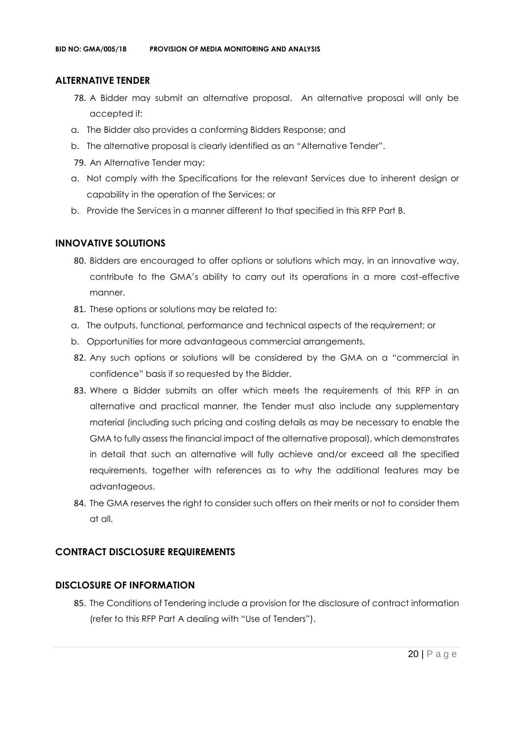#### **ALTERNATIVE TENDER**

- 78. A Bidder may submit an alternative proposal. An alternative proposal will only be accepted if:
- a. The Bidder also provides a conforming Bidders Response; and
- b. The alternative proposal is clearly identified as an "Alternative Tender".
- 79. An Alternative Tender may:
- a. Not comply with the Specifications for the relevant Services due to inherent design or capability in the operation of the Services; or
- b. Provide the Services in a manner different to that specified in this RFP Part B.

#### **INNOVATIVE SOLUTIONS**

- 80. Bidders are encouraged to offer options or solutions which may, in an innovative way, contribute to the GMA's ability to carry out its operations in a more cost-effective manner.
- 81. These options or solutions may be related to:
- a. The outputs, functional, performance and technical aspects of the requirement; or
- b. Opportunities for more advantageous commercial arrangements.
- 82. Any such options or solutions will be considered by the GMA on a "commercial in confidence" basis if so requested by the Bidder.
- 83. Where a Bidder submits an offer which meets the requirements of this RFP in an alternative and practical manner, the Tender must also include any supplementary material (including such pricing and costing details as may be necessary to enable the GMA to fully assess the financial impact of the alternative proposal), which demonstrates in detail that such an alternative will fully achieve and/or exceed all the specified requirements, together with references as to why the additional features may be advantageous.
- 84. The GMA reserves the right to consider such offers on their merits or not to consider them at all.

#### **CONTRACT DISCLOSURE REQUIREMENTS**

#### **DISCLOSURE OF INFORMATION**

85. The Conditions of Tendering include a provision for the disclosure of contract information (refer to this RFP Part A dealing with "Use of Tenders").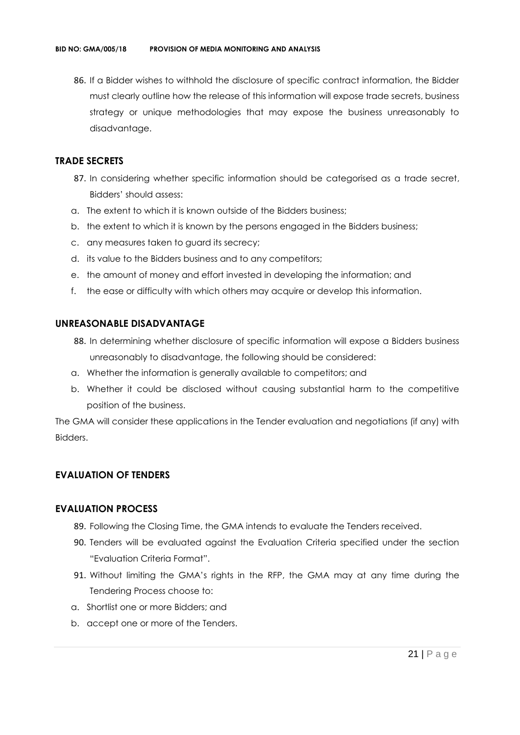86. If a Bidder wishes to withhold the disclosure of specific contract information, the Bidder must clearly outline how the release of this information will expose trade secrets, business strategy or unique methodologies that may expose the business unreasonably to disadvantage.

### **TRADE SECRETS**

- 87. In considering whether specific information should be categorised as a trade secret, Bidders' should assess:
- a. The extent to which it is known outside of the Bidders business;
- b. the extent to which it is known by the persons engaged in the Bidders business;
- c. any measures taken to guard its secrecy;
- d. its value to the Bidders business and to any competitors;
- e. the amount of money and effort invested in developing the information; and
- f. the ease or difficulty with which others may acquire or develop this information.

### **UNREASONABLE DISADVANTAGE**

- 88. In determining whether disclosure of specific information will expose a Bidders business unreasonably to disadvantage, the following should be considered:
- a. Whether the information is generally available to competitors; and
- b. Whether it could be disclosed without causing substantial harm to the competitive position of the business.

The GMA will consider these applications in the Tender evaluation and negotiations (if any) with Bidders.

# **EVALUATION OF TENDERS**

#### **EVALUATION PROCESS**

- 89. Following the Closing Time, the GMA intends to evaluate the Tenders received.
- 90. Tenders will be evaluated against the Evaluation Criteria specified under the section "Evaluation Criteria Format".
- 91. Without limiting the GMA's rights in the RFP, the GMA may at any time during the Tendering Process choose to:
- a. Shortlist one or more Bidders; and
- b. accept one or more of the Tenders.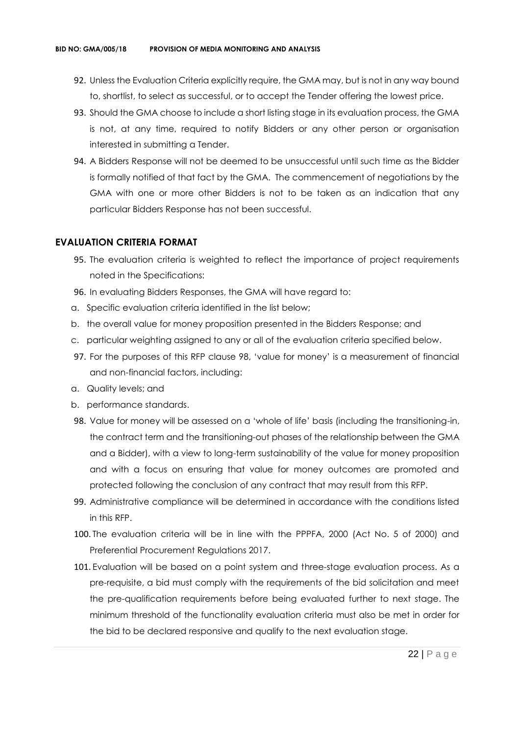- 92. Unless the Evaluation Criteria explicitly require, the GMA may, but is not in any way bound to, shortlist, to select as successful, or to accept the Tender offering the lowest price.
- 93. Should the GMA choose to include a short listing stage in its evaluation process, the GMA is not, at any time, required to notify Bidders or any other person or organisation interested in submitting a Tender.
- 94. A Bidders Response will not be deemed to be unsuccessful until such time as the Bidder is formally notified of that fact by the GMA. The commencement of negotiations by the GMA with one or more other Bidders is not to be taken as an indication that any particular Bidders Response has not been successful.

#### **EVALUATION CRITERIA FORMAT**

- 95. The evaluation criteria is weighted to reflect the importance of project requirements noted in the Specifications:
- 96. In evaluating Bidders Responses, the GMA will have regard to:
- a. Specific evaluation criteria identified in the list below;
- b. the overall value for money proposition presented in the Bidders Response; and
- c. particular weighting assigned to any or all of the evaluation criteria specified below.
- 97. For the purposes of this RFP clause 98, 'value for money' is a measurement of financial and non-financial factors, including:
- a. Quality levels; and
- b. performance standards.
- 98. Value for money will be assessed on a 'whole of life' basis (including the transitioning-in, the contract term and the transitioning-out phases of the relationship between the GMA and a Bidder), with a view to long-term sustainability of the value for money proposition and with a focus on ensuring that value for money outcomes are promoted and protected following the conclusion of any contract that may result from this RFP.
- 99. Administrative compliance will be determined in accordance with the conditions listed in this RFP.
- 100. The evaluation criteria will be in line with the PPPFA, 2000 (Act No. 5 of 2000) and Preferential Procurement Regulations 2017.
- 101. Evaluation will be based on a point system and three-stage evaluation process. As a pre-requisite, a bid must comply with the requirements of the bid solicitation and meet the pre-qualification requirements before being evaluated further to next stage. The minimum threshold of the functionality evaluation criteria must also be met in order for the bid to be declared responsive and qualify to the next evaluation stage.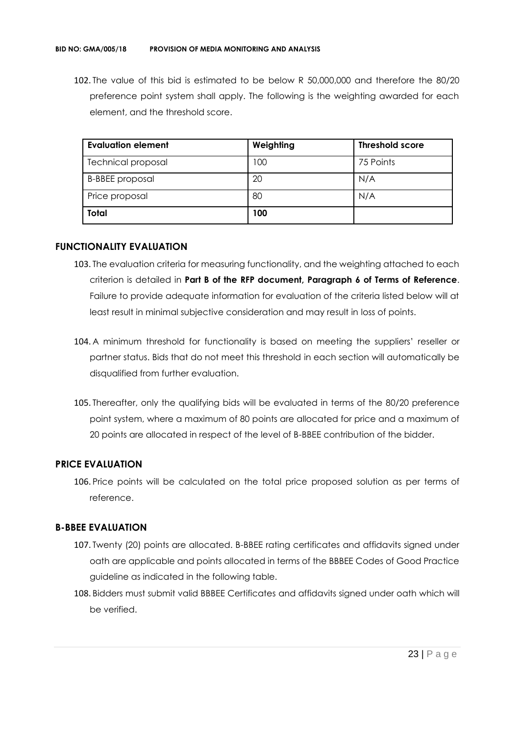102. The value of this bid is estimated to be below R 50,000,000 and therefore the 80/20 preference point system shall apply. The following is the weighting awarded for each element, and the threshold score.

| <b>Evaluation element</b> | Weighting | <b>Threshold score</b> |
|---------------------------|-----------|------------------------|
| <b>Technical proposal</b> | 100       | 75 Points              |
| <b>B-BBEE</b> proposal    | 20        | N/A                    |
| Price proposal            | 80        | N/A                    |
| <b>Total</b>              | 100       |                        |

#### **FUNCTIONALITY EVALUATION**

- 103. The evaluation criteria for measuring functionality, and the weighting attached to each criterion is detailed in **Part B of the RFP document, Paragraph 6 of Terms of Reference**. Failure to provide adequate information for evaluation of the criteria listed below will at least result in minimal subjective consideration and may result in loss of points.
- 104. A minimum threshold for functionality is based on meeting the suppliers' reseller or partner status. Bids that do not meet this threshold in each section will automatically be disqualified from further evaluation.
- 105. Thereafter, only the qualifying bids will be evaluated in terms of the 80/20 preference point system, where a maximum of 80 points are allocated for price and a maximum of 20 points are allocated in respect of the level of B-BBEE contribution of the bidder.

#### **PRICE EVALUATION**

106. Price points will be calculated on the total price proposed solution as per terms of reference.

#### **B-BBEE EVALUATION**

- 107. Twenty (20) points are allocated. B-BBEE rating certificates and affidavits signed under oath are applicable and points allocated in terms of the BBBEE Codes of Good Practice guideline as indicated in the following table.
- 108. Bidders must submit valid BBBEE Certificates and affidavits signed under oath which will be verified.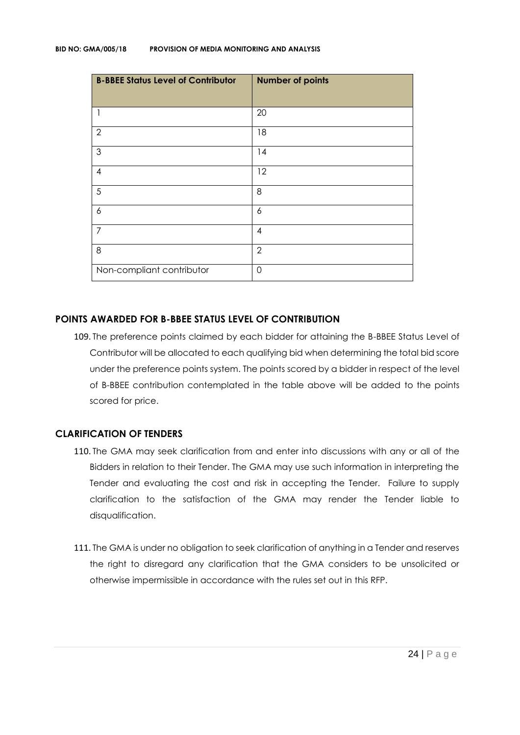| <b>B-BBEE Status Level of Contributor</b> | <b>Number of points</b> |
|-------------------------------------------|-------------------------|
| 1                                         | 20                      |
| $\overline{2}$                            | 18                      |
| $\mathfrak{S}$                            | 14                      |
| $\overline{\mathcal{A}}$                  | 12                      |
| 5                                         | 8                       |
| 6                                         | 6                       |
| $\overline{7}$                            | $\overline{4}$          |
| 8                                         | $\overline{2}$          |
| Non-compliant contributor                 | $\mathbf 0$             |

#### **POINTS AWARDED FOR B-BBEE STATUS LEVEL OF CONTRIBUTION**

109. The preference points claimed by each bidder for attaining the B-BBEE Status Level of Contributor will be allocated to each qualifying bid when determining the total bid score under the preference points system. The points scored by a bidder in respect of the level of B-BBEE contribution contemplated in the table above will be added to the points scored for price.

#### **CLARIFICATION OF TENDERS**

- 110. The GMA may seek clarification from and enter into discussions with any or all of the Bidders in relation to their Tender. The GMA may use such information in interpreting the Tender and evaluating the cost and risk in accepting the Tender. Failure to supply clarification to the satisfaction of the GMA may render the Tender liable to disqualification.
- 111. The GMA is under no obligation to seek clarification of anything in a Tender and reserves the right to disregard any clarification that the GMA considers to be unsolicited or otherwise impermissible in accordance with the rules set out in this RFP.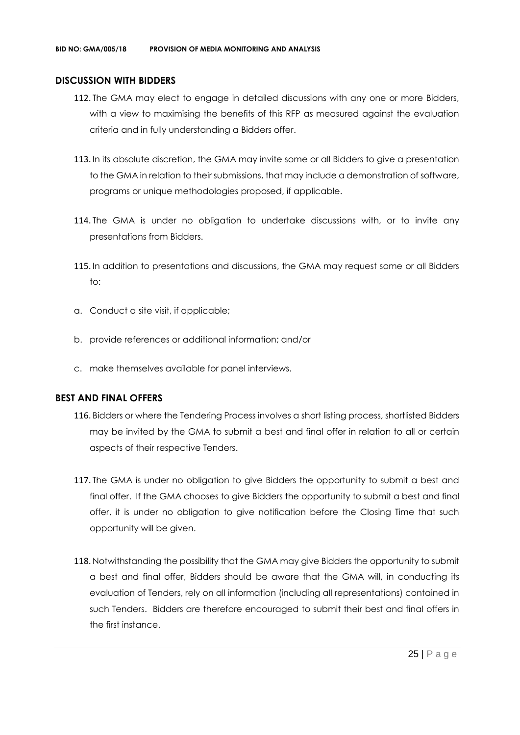#### **DISCUSSION WITH BIDDERS**

- 112. The GMA may elect to engage in detailed discussions with any one or more Bidders, with a view to maximising the benefits of this RFP as measured against the evaluation criteria and in fully understanding a Bidders offer.
- 113. In its absolute discretion, the GMA may invite some or all Bidders to give a presentation to the GMA in relation to their submissions, that may include a demonstration of software, programs or unique methodologies proposed, if applicable.
- 114. The GMA is under no obligation to undertake discussions with, or to invite any presentations from Bidders.
- 115. In addition to presentations and discussions, the GMA may request some or all Bidders to:
- a. Conduct a site visit, if applicable;
- b. provide references or additional information; and/or
- c. make themselves available for panel interviews.

#### **BEST AND FINAL OFFERS**

- 116. Bidders or where the Tendering Process involves a short listing process, shortlisted Bidders may be invited by the GMA to submit a best and final offer in relation to all or certain aspects of their respective Tenders.
- 117. The GMA is under no obligation to give Bidders the opportunity to submit a best and final offer. If the GMA chooses to give Bidders the opportunity to submit a best and final offer, it is under no obligation to give notification before the Closing Time that such opportunity will be given.
- 118. Notwithstanding the possibility that the GMA may give Bidders the opportunity to submit a best and final offer, Bidders should be aware that the GMA will, in conducting its evaluation of Tenders, rely on all information (including all representations) contained in such Tenders. Bidders are therefore encouraged to submit their best and final offers in the first instance.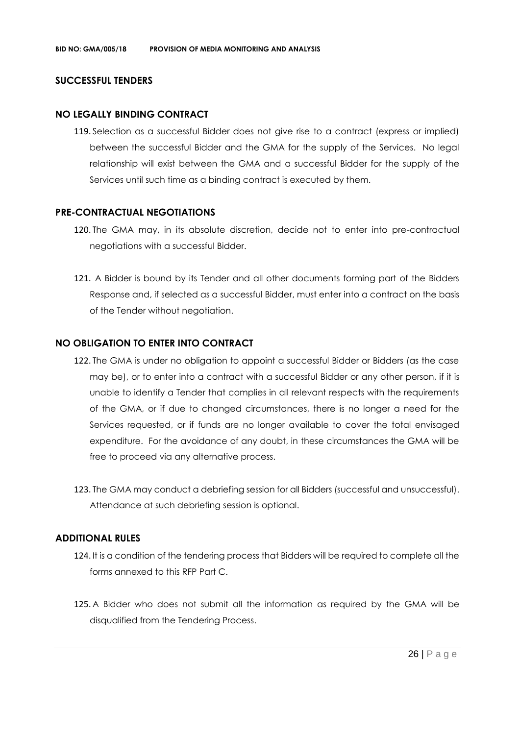#### **SUCCESSFUL TENDERS**

#### **NO LEGALLY BINDING CONTRACT**

119. Selection as a successful Bidder does not give rise to a contract (express or implied) between the successful Bidder and the GMA for the supply of the Services. No legal relationship will exist between the GMA and a successful Bidder for the supply of the Services until such time as a binding contract is executed by them.

#### **PRE-CONTRACTUAL NEGOTIATIONS**

- 120. The GMA may, in its absolute discretion, decide not to enter into pre-contractual negotiations with a successful Bidder.
- 121. A Bidder is bound by its Tender and all other documents forming part of the Bidders Response and, if selected as a successful Bidder, must enter into a contract on the basis of the Tender without negotiation.

#### **NO OBLIGATION TO ENTER INTO CONTRACT**

- 122. The GMA is under no obligation to appoint a successful Bidder or Bidders (as the case may be), or to enter into a contract with a successful Bidder or any other person, if it is unable to identify a Tender that complies in all relevant respects with the requirements of the GMA, or if due to changed circumstances, there is no longer a need for the Services requested, or if funds are no longer available to cover the total envisaged expenditure. For the avoidance of any doubt, in these circumstances the GMA will be free to proceed via any alternative process.
- 123. The GMA may conduct a debriefing session for all Bidders (successful and unsuccessful). Attendance at such debriefing session is optional.

#### **ADDITIONAL RULES**

- 124. It is a condition of the tendering process that Bidders will be required to complete all the forms annexed to this RFP Part C.
- 125. A Bidder who does not submit all the information as required by the GMA will be disqualified from the Tendering Process.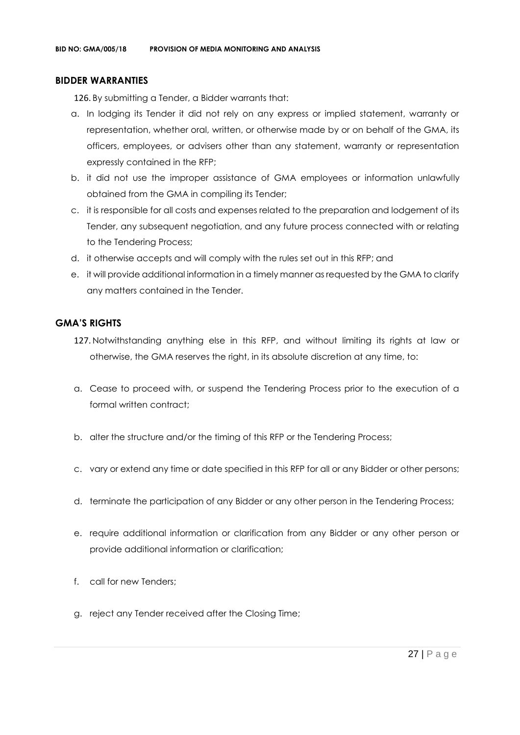#### **BIDDER WARRANTIES**

126. By submitting a Tender, a Bidder warrants that:

- a. In lodging its Tender it did not rely on any express or implied statement, warranty or representation, whether oral, written, or otherwise made by or on behalf of the GMA, its officers, employees, or advisers other than any statement, warranty or representation expressly contained in the RFP;
- b. it did not use the improper assistance of GMA employees or information unlawfully obtained from the GMA in compiling its Tender;
- c. it is responsible for all costs and expenses related to the preparation and lodgement of its Tender, any subsequent negotiation, and any future process connected with or relating to the Tendering Process;
- d. it otherwise accepts and will comply with the rules set out in this RFP; and
- e. it will provide additional information in a timely manner as requested by the GMA to clarify any matters contained in the Tender.

#### **GMA'S RIGHTS**

- 127. Notwithstanding anything else in this RFP, and without limiting its rights at law or otherwise, the GMA reserves the right, in its absolute discretion at any time, to:
- a. Cease to proceed with, or suspend the Tendering Process prior to the execution of a formal written contract:
- b. alter the structure and/or the timing of this RFP or the Tendering Process;
- c. vary or extend any time or date specified in this RFP for all or any Bidder or other persons;
- d. terminate the participation of any Bidder or any other person in the Tendering Process;
- e. require additional information or clarification from any Bidder or any other person or provide additional information or clarification;
- f. call for new Tenders;
- g. reject any Tender received after the Closing Time;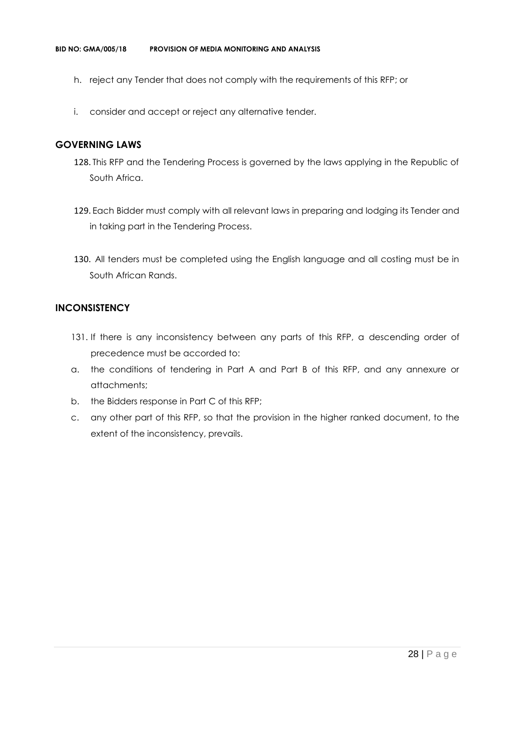- h. reject any Tender that does not comply with the requirements of this RFP; or
- i. consider and accept or reject any alternative tender.

#### **GOVERNING LAWS**

- 128. This RFP and the Tendering Process is governed by the laws applying in the Republic of South Africa.
- 129. Each Bidder must comply with all relevant laws in preparing and lodging its Tender and in taking part in the Tendering Process.
- 130. All tenders must be completed using the English language and all costing must be in South African Rands.

#### **INCONSISTENCY**

- 131. If there is any inconsistency between any parts of this RFP, a descending order of precedence must be accorded to:
- a. the conditions of tendering in Part A and Part B of this RFP, and any annexure or attachments;
- b. the Bidders response in Part C of this RFP;
- c. any other part of this RFP, so that the provision in the higher ranked document, to the extent of the inconsistency, prevails.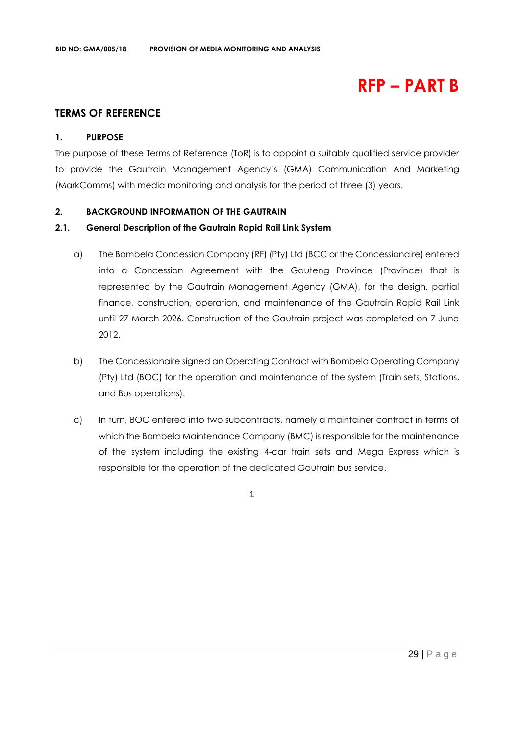# **RFP – PART B**

# **TERMS OF REFERENCE**

#### **1. PURPOSE**

The purpose of these Terms of Reference (ToR) is to appoint a suitably qualified service provider to provide the Gautrain Management Agency's (GMA) Communication And Marketing (MarkComms) with media monitoring and analysis for the period of three (3) years.

#### **2. BACKGROUND INFORMATION OF THE GAUTRAIN**

#### **2.1. General Description of the Gautrain Rapid Rail Link System**

- a) The Bombela Concession Company (RF) (Pty) Ltd (BCC or the Concessionaire) entered into a Concession Agreement with the Gauteng Province (Province) that is represented by the Gautrain Management Agency (GMA), for the design, partial finance, construction, operation, and maintenance of the Gautrain Rapid Rail Link until 27 March 2026. Construction of the Gautrain project was completed on 7 June 2012.
- b) The Concessionaire signed an Operating Contract with Bombela Operating Company (Pty) Ltd (BOC) for the operation and maintenance of the system (Train sets, Stations, and Bus operations).
- c) In turn, BOC entered into two subcontracts, namely a maintainer contract in terms of which the Bombela Maintenance Company (BMC) is responsible for the maintenance of the system including the existing 4-car train sets and Mega Express which is responsible for the operation of the dedicated Gautrain bus service.

1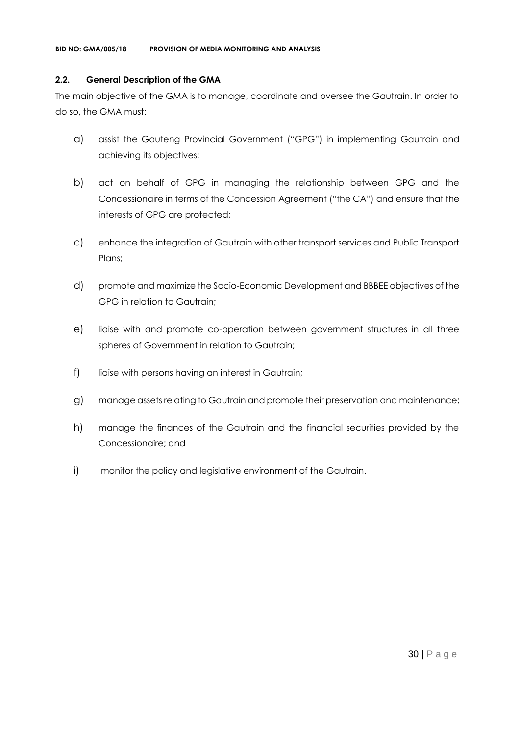#### **2.2. General Description of the GMA**

The main objective of the GMA is to manage, coordinate and oversee the Gautrain. In order to do so, the GMA must:

- a) assist the Gauteng Provincial Government ("GPG") in implementing Gautrain and achieving its objectives;
- b) act on behalf of GPG in managing the relationship between GPG and the Concessionaire in terms of the Concession Agreement ("the CA") and ensure that the interests of GPG are protected;
- c) enhance the integration of Gautrain with other transport services and Public Transport Plans;
- d) promote and maximize the Socio-Economic Development and BBBEE objectives of the GPG in relation to Gautrain;
- e) liaise with and promote co-operation between government structures in all three spheres of Government in relation to Gautrain;
- f) liaise with persons having an interest in Gautrain;
- g) manage assets relating to Gautrain and promote their preservation and maintenance;
- h) manage the finances of the Gautrain and the financial securities provided by the Concessionaire; and
- i) monitor the policy and legislative environment of the Gautrain.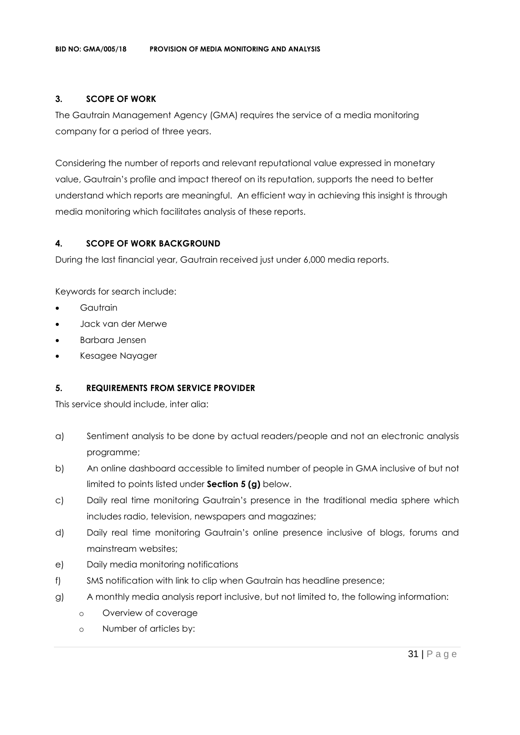### **3. SCOPE OF WORK**

The Gautrain Management Agency (GMA) requires the service of a media monitoring company for a period of three years.

Considering the number of reports and relevant reputational value expressed in monetary value, Gautrain's profile and impact thereof on its reputation, supports the need to better understand which reports are meaningful. An efficient way in achieving this insight is through media monitoring which facilitates analysis of these reports.

### **4. SCOPE OF WORK BACKGROUND**

During the last financial year, Gautrain received just under 6,000 media reports.

Keywords for search include:

- **Gautrain**
- Jack van der Merwe
- Barbara Jensen
- Kesagee Nayager

#### **5. REQUIREMENTS FROM SERVICE PROVIDER**

This service should include, inter alia:

- a) Sentiment analysis to be done by actual readers/people and not an electronic analysis programme;
- b) An online dashboard accessible to limited number of people in GMA inclusive of but not limited to points listed under **Section 5 (g)** below.
- c) Daily real time monitoring Gautrain's presence in the traditional media sphere which includes radio, television, newspapers and magazines;
- d) Daily real time monitoring Gautrain's online presence inclusive of blogs, forums and mainstream websites;
- e) Daily media monitoring notifications
- f) SMS notification with link to clip when Gautrain has headline presence;
- g) A monthly media analysis report inclusive, but not limited to, the following information:
	- o Overview of coverage
	- o Number of articles by: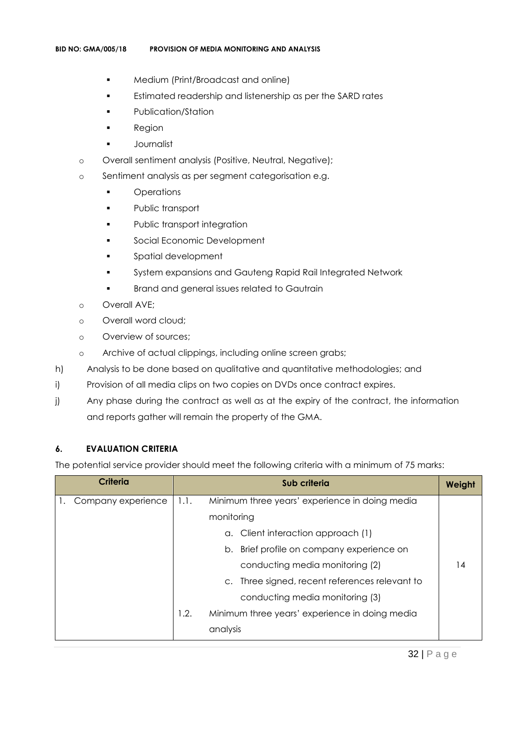- Medium (Print/Broadcast and online)
- **Estimated readership and listenership as per the SARD rates**
- Publication/Station
- **Region**
- Journalist
- o Overall sentiment analysis (Positive, Neutral, Negative);
- o Sentiment analysis as per segment categorisation e.g.
	- Operations
	- Public transport
	- **•** Public transport integration
	- **Social Economic Development**
	- Spatial development
	- System expansions and Gauteng Rapid Rail Integrated Network
	- **•** Brand and general issues related to Gautrain
- o Overall AVE;
- o Overall word cloud;
- o Overview of sources;
- o Archive of actual clippings, including online screen grabs;
- h) Analysis to be done based on qualitative and quantitative methodologies; and
- i) Provision of all media clips on two copies on DVDs once contract expires.
- j) Any phase during the contract as well as at the expiry of the contract, the information and reports gather will remain the property of the GMA.

#### **6. EVALUATION CRITERIA**

The potential service provider should meet the following criteria with a minimum of 75 marks:

| <b>Criteria</b>    | Sub criteria |                                                | Weight |
|--------------------|--------------|------------------------------------------------|--------|
| Company experience | 1.1.         | Minimum three years' experience in doing media |        |
|                    |              | monitoring                                     |        |
|                    |              | a. Client interaction approach (1)             |        |
|                    |              | Brief profile on company experience on<br>b.   |        |
|                    |              | conducting media monitoring (2)                | 14     |
|                    |              | c. Three signed, recent references relevant to |        |
|                    |              | conducting media monitoring (3)                |        |
|                    | 1.2.         | Minimum three years' experience in doing media |        |
|                    |              | analysis                                       |        |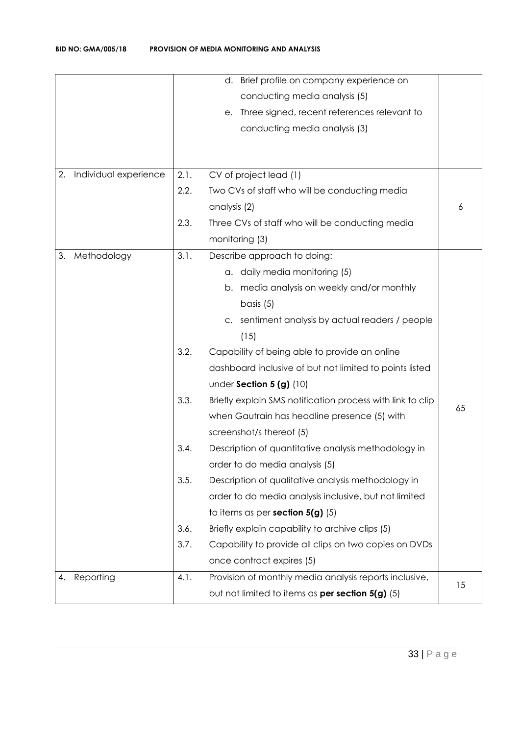|                             |      | Brief profile on company experience on<br>d.               |    |
|-----------------------------|------|------------------------------------------------------------|----|
|                             |      | conducting media analysis (5)                              |    |
|                             |      | Three signed, recent references relevant to<br>е.          |    |
|                             |      | conducting media analysis (3)                              |    |
|                             |      |                                                            |    |
| Individual experience<br>2. | 2.1. | CV of project lead (1)                                     |    |
|                             | 2.2. | Two CVs of staff who will be conducting media              |    |
|                             |      | analysis (2)                                               | 6  |
|                             | 2.3. | Three CVs of staff who will be conducting media            |    |
|                             |      | monitoring (3)                                             |    |
| 3.<br>Methodology           | 3.1. | Describe approach to doing:                                |    |
|                             |      | a. daily media monitoring (5)                              |    |
|                             |      | media analysis on weekly and/or monthly<br>b.              |    |
|                             |      | basis $(5)$                                                |    |
|                             |      | sentiment analysis by actual readers / people              |    |
|                             |      | (15)                                                       |    |
|                             | 3.2. | Capability of being able to provide an online              |    |
|                             |      | dashboard inclusive of but not limited to points listed    |    |
|                             |      | under Section $5(g)$ (10)                                  |    |
|                             | 3.3. | Briefly explain SMS notification process with link to clip |    |
|                             |      | when Gautrain has headline presence (5) with               | 65 |
|                             |      | screenshot/s thereof (5)                                   |    |
|                             | 3.4. | Description of quantitative analysis methodology in        |    |
|                             |      | order to do media analysis (5)                             |    |
|                             | 3.5. | Description of qualitative analysis methodology in         |    |
|                             |      | order to do media analysis inclusive, but not limited      |    |
|                             |      | to items as per section $5(g)$ (5)                         |    |
|                             | 3.6. | Briefly explain capability to archive clips (5)            |    |
|                             | 3.7. | Capability to provide all clips on two copies on DVDs      |    |
|                             |      | once contract expires (5)                                  |    |
| Reporting<br>4.             | 4.1. | Provision of monthly media analysis reports inclusive,     | 15 |
|                             |      | but not limited to items as per section 5(g) (5)           |    |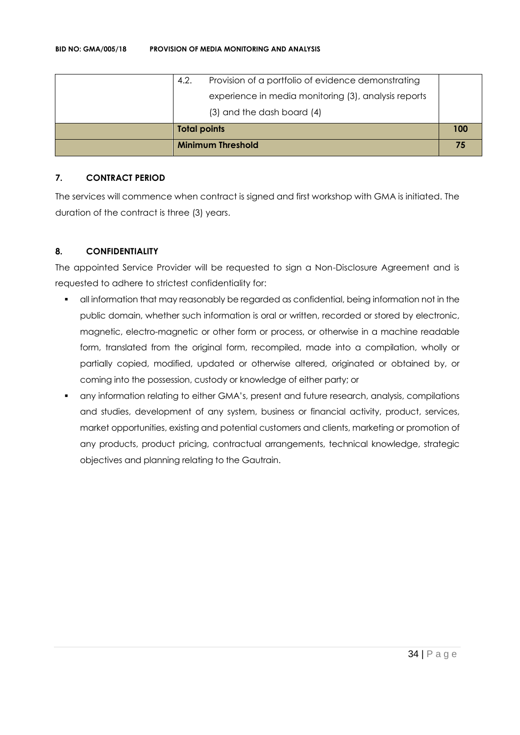| <b>Minimum Threshold</b>                                   |     |
|------------------------------------------------------------|-----|
| <b>Total points</b>                                        | 100 |
| (3) and the dash board (4)                                 |     |
| experience in media monitoring (3), analysis reports       |     |
| Provision of a portfolio of evidence demonstrating<br>4.2. |     |

#### **7. CONTRACT PERIOD**

The services will commence when contract is signed and first workshop with GMA is initiated. The duration of the contract is three (3) years.

# **8. CONFIDENTIALITY**

The appointed Service Provider will be requested to sign a Non-Disclosure Agreement and is requested to adhere to strictest confidentiality for:

- all information that may reasonably be regarded as confidential, being information not in the public domain, whether such information is oral or written, recorded or stored by electronic, magnetic, electro-magnetic or other form or process, or otherwise in a machine readable form, translated from the original form, recompiled, made into a compilation, wholly or partially copied, modified, updated or otherwise altered, originated or obtained by, or coming into the possession, custody or knowledge of either party; or
- any information relating to either GMA's, present and future research, analysis, compilations and studies, development of any system, business or financial activity, product, services, market opportunities, existing and potential customers and clients, marketing or promotion of any products, product pricing, contractual arrangements, technical knowledge, strategic objectives and planning relating to the Gautrain.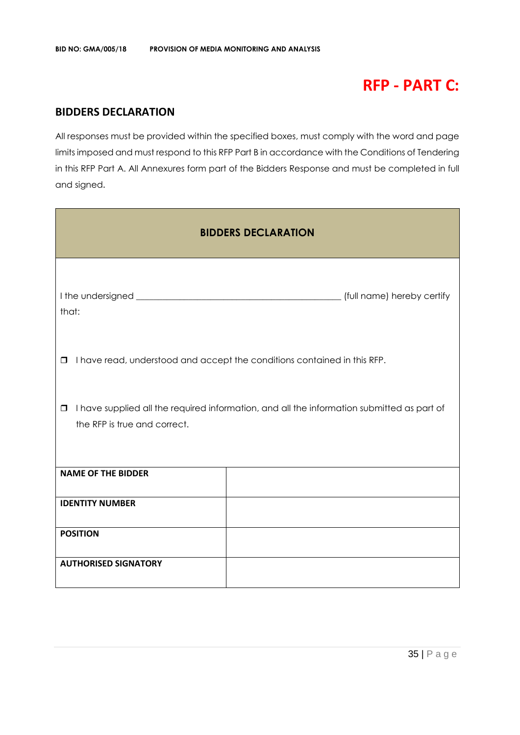# **RFP - PART C:**

# **BIDDERS DECLARATION**

All responses must be provided within the specified boxes, must comply with the word and page limits imposed and must respond to this RFP Part B in accordance with the Conditions of Tendering in this RFP Part A. All Annexures form part of the Bidders Response and must be completed in full and signed.

| <b>BIDDERS DECLARATION</b>                                                                                                           |  |  |  |
|--------------------------------------------------------------------------------------------------------------------------------------|--|--|--|
| that:                                                                                                                                |  |  |  |
| I have read, understood and accept the conditions contained in this RFP.<br>$\Box$                                                   |  |  |  |
| I have supplied all the required information, and all the information submitted as part of<br>$\Box$<br>the RFP is true and correct. |  |  |  |
| <b>NAME OF THE BIDDER</b>                                                                                                            |  |  |  |
| <b>IDENTITY NUMBER</b>                                                                                                               |  |  |  |
| <b>POSITION</b>                                                                                                                      |  |  |  |
| <b>AUTHORISED SIGNATORY</b>                                                                                                          |  |  |  |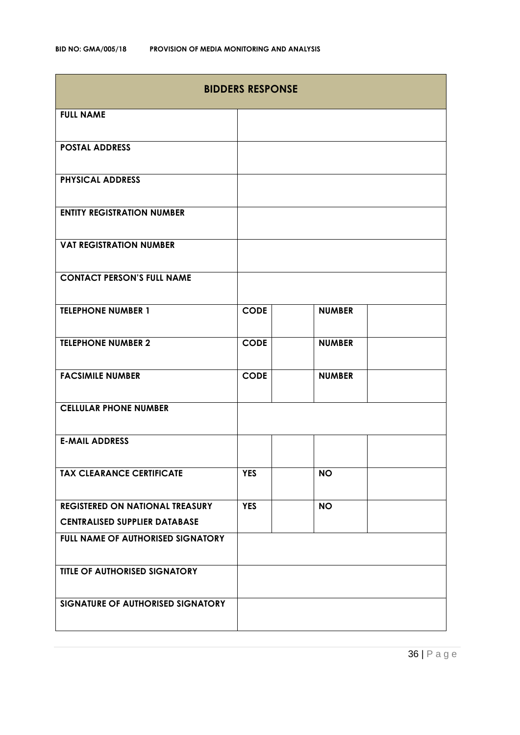| <b>BIDDERS RESPONSE</b>                  |             |               |  |
|------------------------------------------|-------------|---------------|--|
| <b>FULL NAME</b>                         |             |               |  |
| <b>POSTAL ADDRESS</b>                    |             |               |  |
| <b>PHYSICAL ADDRESS</b>                  |             |               |  |
| <b>ENTITY REGISTRATION NUMBER</b>        |             |               |  |
| <b>VAT REGISTRATION NUMBER</b>           |             |               |  |
| <b>CONTACT PERSON'S FULL NAME</b>        |             |               |  |
| <b>TELEPHONE NUMBER 1</b>                | <b>CODE</b> | <b>NUMBER</b> |  |
| <b>TELEPHONE NUMBER 2</b>                | <b>CODE</b> | <b>NUMBER</b> |  |
| <b>FACSIMILE NUMBER</b>                  | <b>CODE</b> | <b>NUMBER</b> |  |
| <b>CELLULAR PHONE NUMBER</b>             |             |               |  |
| <b>E-MAIL ADDRESS</b>                    |             |               |  |
| <b>TAX CLEARANCE CERTIFICATE</b>         | <b>YES</b>  | <b>NO</b>     |  |
| <b>REGISTERED ON NATIONAL TREASURY</b>   | <b>YES</b>  | <b>NO</b>     |  |
| <b>CENTRALISED SUPPLIER DATABASE</b>     |             |               |  |
| <b>FULL NAME OF AUTHORISED SIGNATORY</b> |             |               |  |
| <b>TITLE OF AUTHORISED SIGNATORY</b>     |             |               |  |
| SIGNATURE OF AUTHORISED SIGNATORY        |             |               |  |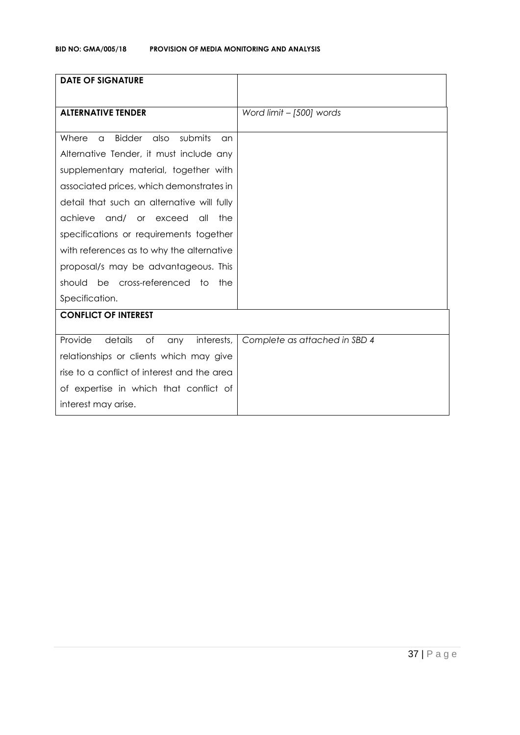| <b>DATE OF SIGNATURE</b>                                    |                               |
|-------------------------------------------------------------|-------------------------------|
| <b>ALTERNATIVE TENDER</b>                                   | Word limit - [500] words      |
|                                                             |                               |
| <b>Bidder</b><br>also<br>submits<br>Where<br>$\alpha$<br>an |                               |
| Alternative Tender, it must include any                     |                               |
| supplementary material, together with                       |                               |
| associated prices, which demonstrates in                    |                               |
| detail that such an alternative will fully                  |                               |
| achieve<br>and/ or exceed<br>all<br>the                     |                               |
| specifications or requirements together                     |                               |
| with references as to why the alternative                   |                               |
| proposal/s may be advantageous. This                        |                               |
| should be cross-referenced to<br>the                        |                               |
| Specification.                                              |                               |
| <b>CONFLICT OF INTEREST</b>                                 |                               |
| Provide<br>details<br>of<br>interests,<br>any               | Complete as attached in SBD 4 |
| relationships or clients which may give                     |                               |
| rise to a conflict of interest and the area                 |                               |
| of expertise in which that conflict of                      |                               |
| interest may arise.                                         |                               |
|                                                             |                               |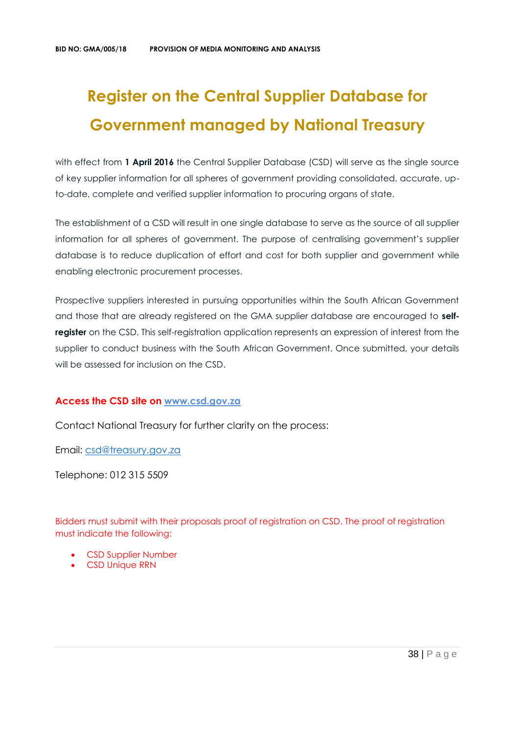# **Register on the Central Supplier Database for Government managed by National Treasury**

with effect from 1 April 2016 the Central Supplier Database (CSD) will serve as the single source of key supplier information for all spheres of government providing consolidated, accurate, upto-date, complete and verified supplier information to procuring organs of state.

The establishment of a CSD will result in one single database to serve as the source of all supplier information for all spheres of government. The purpose of centralising government's supplier database is to reduce duplication of effort and cost for both supplier and government while enabling electronic procurement processes.

Prospective suppliers interested in pursuing opportunities within the South African Government and those that are already registered on the GMA supplier database are encouraged to **selfregister** on the CSD. This self-registration application represents an expression of interest from the supplier to conduct business with the South African Government. Once submitted, your details will be assessed for inclusion on the CSD.

#### **Access the CSD site on [www.csd.gov.za](http://www.csd.gov.za/)**

Contact National Treasury for further clarity on the process:

Email: [csd@treasury.gov.za](mailto:csd@treasury.gov.za)

Telephone: 012 315 5509

Bidders must submit with their proposals proof of registration on CSD. The proof of registration must indicate the following:

- CSD Supplier Number
- CSD Unique RRN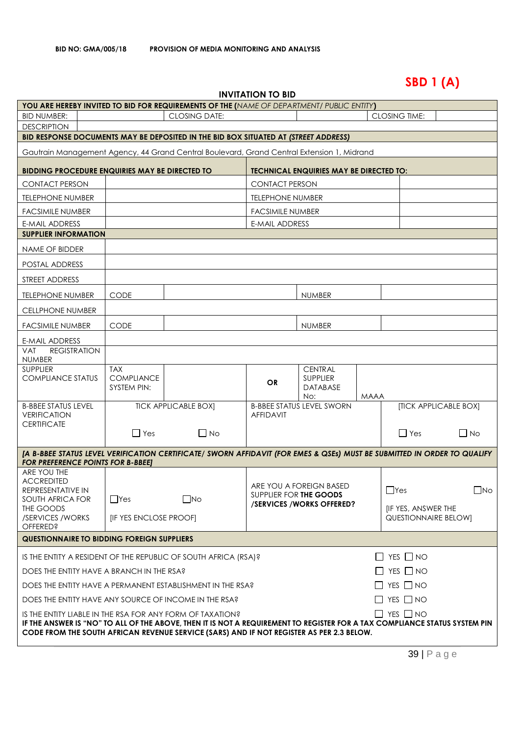# **SBD 1 (A)**

| <b>INVITATION TO BID</b> |  |
|--------------------------|--|
|--------------------------|--|

| <b>YOU ARE HEREBY INVITED TO BID FOR REQUIREMENTS OF THE (NAME OF DEPARTMENT/ PUBLIC ENTITY)</b>                                                                                                                                                                                                            |                                                |                             |                                                  |                                                      |      |                                                                 |                       |
|-------------------------------------------------------------------------------------------------------------------------------------------------------------------------------------------------------------------------------------------------------------------------------------------------------------|------------------------------------------------|-----------------------------|--------------------------------------------------|------------------------------------------------------|------|-----------------------------------------------------------------|-----------------------|
| <b>BID NUMBER:</b>                                                                                                                                                                                                                                                                                          | <b>CLOSING TIME:</b><br><b>CLOSING DATE:</b>   |                             |                                                  |                                                      |      |                                                                 |                       |
| <b>DESCRIPTION</b><br>BID RESPONSE DOCUMENTS MAY BE DEPOSITED IN THE BID BOX SITUATED AT (STREET ADDRESS)                                                                                                                                                                                                   |                                                |                             |                                                  |                                                      |      |                                                                 |                       |
|                                                                                                                                                                                                                                                                                                             |                                                |                             |                                                  |                                                      |      |                                                                 |                       |
| Gautrain Management Agency, 44 Grand Central Boulevard, Grand Central Extension 1, Midrand<br><b>BIDDING PROCEDURE ENQUIRIES MAY BE DIRECTED TO</b>                                                                                                                                                         |                                                |                             |                                                  | <b>TECHNICAL ENQUIRIES MAY BE DIRECTED TO:</b>       |      |                                                                 |                       |
|                                                                                                                                                                                                                                                                                                             |                                                |                             |                                                  |                                                      |      |                                                                 |                       |
| <b>CONTACT PERSON</b>                                                                                                                                                                                                                                                                                       |                                                |                             | <b>CONTACT PERSON</b>                            |                                                      |      |                                                                 |                       |
| <b>TELEPHONE NUMBER</b>                                                                                                                                                                                                                                                                                     |                                                |                             | <b>TELEPHONE NUMBER</b>                          |                                                      |      |                                                                 |                       |
| <b>FACSIMILE NUMBER</b><br><b>E-MAIL ADDRESS</b>                                                                                                                                                                                                                                                            |                                                |                             | <b>FACSIMILE NUMBER</b><br><b>E-MAIL ADDRESS</b> |                                                      |      |                                                                 |                       |
| <b>SUPPLIER INFORMATION</b>                                                                                                                                                                                                                                                                                 |                                                |                             |                                                  |                                                      |      |                                                                 |                       |
| NAME OF BIDDER                                                                                                                                                                                                                                                                                              |                                                |                             |                                                  |                                                      |      |                                                                 |                       |
| POSTAL ADDRESS                                                                                                                                                                                                                                                                                              |                                                |                             |                                                  |                                                      |      |                                                                 |                       |
| STREET ADDRESS                                                                                                                                                                                                                                                                                              |                                                |                             |                                                  |                                                      |      |                                                                 |                       |
| <b>TELEPHONE NUMBER</b>                                                                                                                                                                                                                                                                                     | <b>CODE</b>                                    |                             |                                                  | <b>NUMBER</b>                                        |      |                                                                 |                       |
| <b>CELLPHONE NUMBER</b>                                                                                                                                                                                                                                                                                     |                                                |                             |                                                  |                                                      |      |                                                                 |                       |
| <b>FACSIMILE NUMBER</b>                                                                                                                                                                                                                                                                                     | <b>CODE</b>                                    |                             |                                                  | <b>NUMBER</b>                                        |      |                                                                 |                       |
| <b>E-MAIL ADDRESS</b>                                                                                                                                                                                                                                                                                       |                                                |                             |                                                  |                                                      |      |                                                                 |                       |
| <b>REGISTRATION</b><br>VAT<br><b>NUMBER</b>                                                                                                                                                                                                                                                                 |                                                |                             |                                                  |                                                      |      |                                                                 |                       |
| <b>SUPPLIER</b><br><b>COMPLIANCE STATUS</b>                                                                                                                                                                                                                                                                 | <b>TAX</b><br><b>COMPLIANCE</b><br>SYSTEM PIN: |                             | <b>OR</b>                                        | <b>CENTRAL</b><br><b>SUPPLIER</b><br>DATABASE<br>No: | MAAA |                                                                 |                       |
| <b>B-BBEE STATUS LEVEL</b><br><b>VERIFICATION</b>                                                                                                                                                                                                                                                           |                                                | <b>TICK APPLICABLE BOX]</b> | <b>AFFIDAVIT</b>                                 | <b>B-BBEE STATUS LEVEL SWORN</b>                     |      |                                                                 | [TICK APPLICABLE BOX] |
| <b>CERTIFICATE</b>                                                                                                                                                                                                                                                                                          | $\Box$ Yes                                     | $\Box$ No                   |                                                  |                                                      |      | $\Box$ Yes                                                      | $\Box$ No             |
| [A B-BBEE STATUS LEVEL VERIFICATION CERTIFICATE/ SWORN AFFIDAVIT (FOR EMES & QSEs) MUST BE SUBMITTED IN ORDER TO QUALIFY<br><b>FOR PREFERENCE POINTS FOR B-BBEET</b>                                                                                                                                        |                                                |                             |                                                  |                                                      |      |                                                                 |                       |
| ARE YOU THE<br><b>ACCREDITED</b><br>REPRESENTATIVE IN<br>SOUTH AFRICA FOR<br>THE GOODS<br>/SERVICES / WORKS<br><b>OFFERED?</b>                                                                                                                                                                              | $\Box$ Yes<br>[IF YES ENCLOSE PROOF]           | $\square$ No                | SUPPLIER FOR THE GOODS                           | ARE YOU A FOREIGN BASED<br>/SERVICES/WORKS OFFERED?  |      | $\Box$ Yes<br><b>IF YES, ANSWER THE</b><br>QUESTIONNAIRE BELOW] | $\Box$ No             |
| <b>QUESTIONNAIRE TO BIDDING FOREIGN SUPPLIERS</b>                                                                                                                                                                                                                                                           |                                                |                             |                                                  |                                                      |      |                                                                 |                       |
| $\Box$ YES $\Box$ NO<br>IS THE ENTITY A RESIDENT OF THE REPUBLIC OF SOUTH AFRICA (RSA)?                                                                                                                                                                                                                     |                                                |                             |                                                  |                                                      |      |                                                                 |                       |
| $\Box$ YES $\Box$ NO<br>DOES THE ENTITY HAVE A BRANCH IN THE RSA?                                                                                                                                                                                                                                           |                                                |                             |                                                  |                                                      |      |                                                                 |                       |
| $\Box$ YES $\Box$ NO<br>DOES THE ENTITY HAVE A PERMANENT ESTABLISHMENT IN THE RSA?                                                                                                                                                                                                                          |                                                |                             |                                                  |                                                      |      |                                                                 |                       |
| $\Box$ yes $\Box$ no<br>DOES THE ENTITY HAVE ANY SOURCE OF INCOME IN THE RSA?                                                                                                                                                                                                                               |                                                |                             |                                                  |                                                      |      |                                                                 |                       |
| $\Box$ Yes $\Box$ No<br>IS THE ENTITY LIABLE IN THE RSA FOR ANY FORM OF TAXATION?<br>IF THE ANSWER IS "NO" TO ALL OF THE ABOVE, THEN IT IS NOT A REQUIREMENT TO REGISTER FOR A TAX COMPLIANCE STATUS SYSTEM PIN<br>CODE FROM THE SOUTH AFRICAN REVENUE SERVICE (SARS) AND IF NOT REGISTER AS PER 2.3 BELOW. |                                                |                             |                                                  |                                                      |      |                                                                 |                       |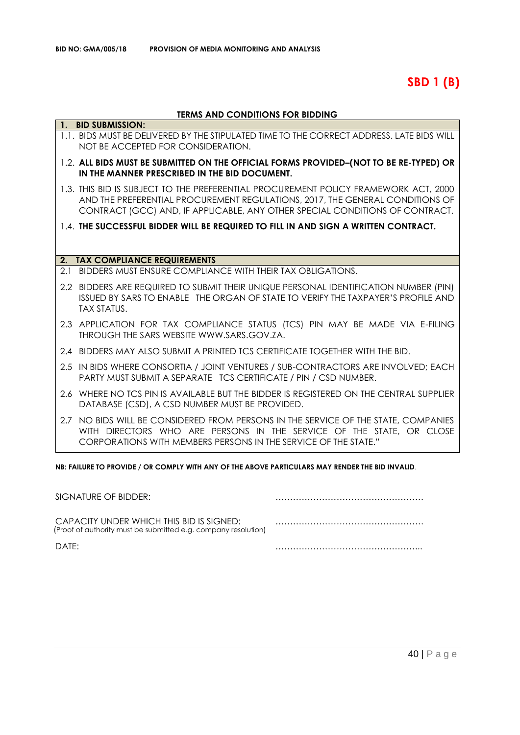**SBD 1 (B)**

### **TERMS AND CONDITIONS FOR BIDDING**

|     | 1. BID SUBMISSION:                                                                                                                                                                                                                                   |
|-----|------------------------------------------------------------------------------------------------------------------------------------------------------------------------------------------------------------------------------------------------------|
|     | 1.1. BIDS MUST BE DELIVERED BY THE STIPULATED TIME TO THE CORRECT ADDRESS. LATE BIDS WILL<br>NOT BE ACCEPTED FOR CONSIDERATION.                                                                                                                      |
|     | 1.2. ALL BIDS MUST BE SUBMITTED ON THE OFFICIAL FORMS PROVIDED-(NOT TO BE RE-TYPED) OR<br>IN THE MANNER PRESCRIBED IN THE BID DOCUMENT.                                                                                                              |
|     | 1.3. THIS BID IS SUBJECT TO THE PREFERENTIAL PROCUREMENT POLICY FRAMEWORK ACT, 2000<br>AND THE PREFERENTIAL PROCUREMENT REGULATIONS, 2017, THE GENERAL CONDITIONS OF<br>CONTRACT (GCC) AND, IF APPLICABLE, ANY OTHER SPECIAL CONDITIONS OF CONTRACT. |
|     | 1.4. THE SUCCESSFUL BIDDER WILL BE REQUIRED TO FILL IN AND SIGN A WRITTEN CONTRACT.                                                                                                                                                                  |
|     |                                                                                                                                                                                                                                                      |
|     | 2. TAX COMPLIANCE REQUIREMENTS                                                                                                                                                                                                                       |
| 2.1 | BIDDERS MUST ENSURE COMPLIANCE WITH THEIR TAX OBLIGATIONS.                                                                                                                                                                                           |
|     | 2.2 BIDDERS ARE REQUIRED TO SUBMIT THEIR UNIQUE PERSONAL IDENTIFICATION NUMBER (PIN)<br>ISSUED BY SARS TO ENABLE THE ORGAN OF STATE TO VERIFY THE TAXPAYER'S PROFILE AND<br><b>TAX STATUS.</b>                                                       |
|     | 2.3 APPLICATION FOR TAX COMPLIANCE STATUS (TCS) PIN MAY BE MADE VIA E-FILING<br>THROUGH THE SARS WEBSITE WWW.SARS.GOV.ZA.                                                                                                                            |
|     | 2.4 BIDDERS MAY ALSO SUBMIT A PRINTED TCS CERTIFICATE TOGETHER WITH THE BID.                                                                                                                                                                         |
|     | 2.5 IN BIDS WHERE CONSORTIA / JOINT VENTURES / SUB-CONTRACTORS ARE INVOLVED; EACH<br><b>PARTY MUST SUBMIT A SEPARATE TCS CERTIFICATE / PIN / CSD NUMBER.</b>                                                                                         |
| 2.6 | WHERE NO TCS PIN IS AVAILABLE BUT THE BIDDER IS REGISTERED ON THE CENTRAL SUPPLIER<br>DATABASE (CSD), A CSD NUMBER MUST BE PROVIDED.                                                                                                                 |
|     | 2.7 NO BIDS WILL BE CONSIDERED FROM PERSONS IN THE SERVICE OF THE STATE, COMPANIES<br>WITH DIRECTORS WHO ARE PERSONS IN THE SERVICE OF THE STATE, OR CLOSE<br>CORPORATIONS WITH MEMBERS PERSONS IN THE SERVICE OF THE STATE."                        |

**NB: FAILURE TO PROVIDE / OR COMPLY WITH ANY OF THE ABOVE PARTICULARS MAY RENDER THE BID INVALID**.

| SIGNATURE OF BIDDER:                                                                                       |  |
|------------------------------------------------------------------------------------------------------------|--|
| CAPACITY UNDER WHICH THIS BID IS SIGNED:<br>(Proof of authority must be submitted e.g. company resolution) |  |
| DATF:                                                                                                      |  |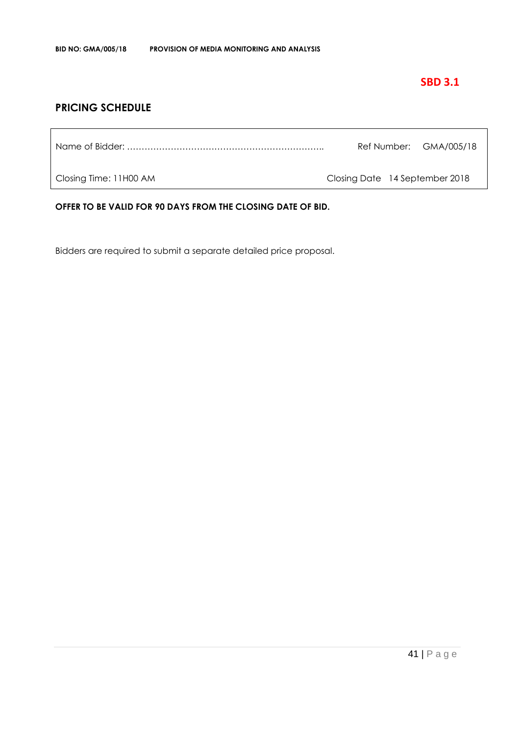# **SBD 3.1**

# **PRICING SCHEDULE**

|  | Ref Number: GMA/005/18 |
|--|------------------------|
|  |                        |

Closing Time: 11H00 AM Closing Date 14 September 2018

**OFFER TO BE VALID FOR 90 DAYS FROM THE CLOSING DATE OF BID.**

Bidders are required to submit a separate detailed price proposal.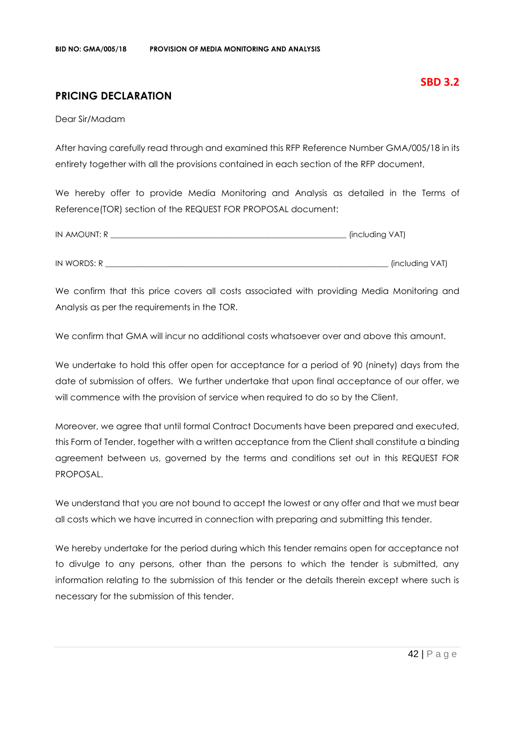# **PRICING DECLARATION**

Dear Sir/Madam

After having carefully read through and examined this RFP Reference Number GMA/005/18 in its entirety together with all the provisions contained in each section of the RFP document,

We hereby offer to provide Media Monitoring and Analysis as detailed in the Terms of Reference(TOR) section of the REQUEST FOR PROPOSAL document:

| IN AMOUNT: R | (including VAT) |
|--------------|-----------------|
|              |                 |
| IN WORDS: R  | (including VAT) |

We confirm that this price covers all costs associated with providing Media Monitoring and Analysis as per the requirements in the TOR.

We confirm that GMA will incur no additional costs whatsoever over and above this amount.

We undertake to hold this offer open for acceptance for a period of 90 (ninety) days from the date of submission of offers. We further undertake that upon final acceptance of our offer, we will commence with the provision of service when required to do so by the Client.

Moreover, we agree that until formal Contract Documents have been prepared and executed, this Form of Tender, together with a written acceptance from the Client shall constitute a binding agreement between us, governed by the terms and conditions set out in this REQUEST FOR PROPOSAL.

We understand that you are not bound to accept the lowest or any offer and that we must bear all costs which we have incurred in connection with preparing and submitting this tender.

We hereby undertake for the period during which this tender remains open for acceptance not to divulge to any persons, other than the persons to which the tender is submitted, any information relating to the submission of this tender or the details therein except where such is necessary for the submission of this tender.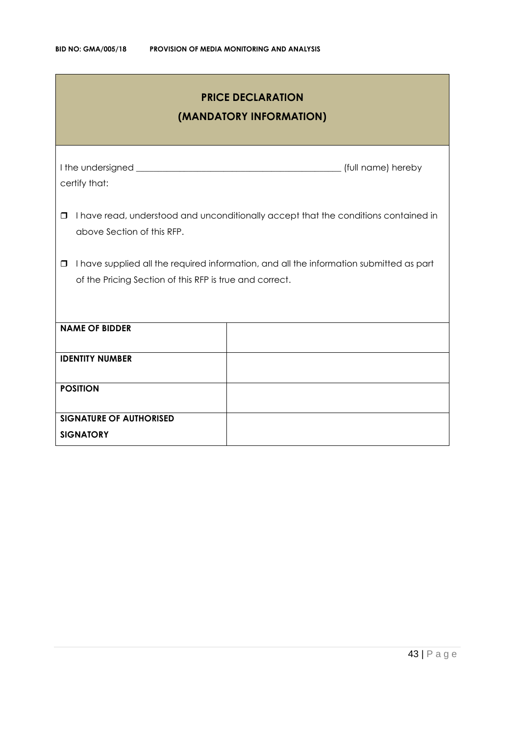| <b>PRICE DECLARATION</b><br>(MANDATORY INFORMATION)                                                                                                     |  |  |  |
|---------------------------------------------------------------------------------------------------------------------------------------------------------|--|--|--|
| certify that:                                                                                                                                           |  |  |  |
| I have read, understood and unconditionally accept that the conditions contained in<br>$\Box$<br>above Section of this RFP.                             |  |  |  |
| I have supplied all the required information, and all the information submitted as part<br>0<br>of the Pricing Section of this RFP is true and correct. |  |  |  |
| <b>NAME OF BIDDER</b>                                                                                                                                   |  |  |  |
| <b>IDENTITY NUMBER</b>                                                                                                                                  |  |  |  |
| <b>POSITION</b>                                                                                                                                         |  |  |  |
| <b>SIGNATURE OF AUTHORISED</b><br><b>SIGNATORY</b>                                                                                                      |  |  |  |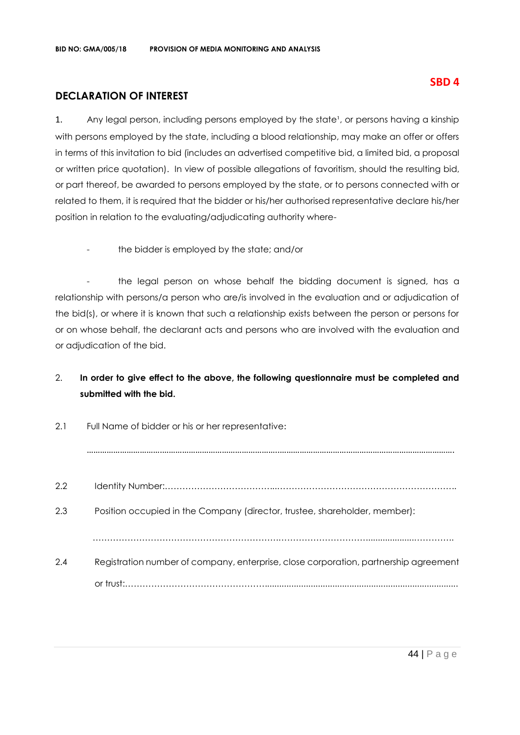# **DECLARATION OF INTEREST**

1. Any legal person, including persons employed by the state<sup>1</sup>, or persons having a kinship with persons employed by the state, including a blood relationship, may make an offer or offers in terms of this invitation to bid (includes an advertised competitive bid, a limited bid, a proposal or written price quotation). In view of possible allegations of favoritism, should the resulting bid, or part thereof, be awarded to persons employed by the state, or to persons connected with or related to them, it is required that the bidder or his/her authorised representative declare his/her position in relation to the evaluating/adjudicating authority where-

the bidder is employed by the state; and/or

- the legal person on whose behalf the bidding document is signed, has a relationship with persons/a person who are/is involved in the evaluation and or adjudication of the bid(s), or where it is known that such a relationship exists between the person or persons for or on whose behalf, the declarant acts and persons who are involved with the evaluation and or adjudication of the bid.

# 2. **In order to give effect to the above, the following questionnaire must be completed and submitted with the bid.**

| 2.1 | Full Name of bidder or his or her representative:                                    |
|-----|--------------------------------------------------------------------------------------|
|     |                                                                                      |
| 2.2 |                                                                                      |
| 2.3 | Position occupied in the Company (director, trustee, shareholder, member):           |
|     |                                                                                      |
| 2.4 | Registration number of company, enterprise, close corporation, partnership agreement |
|     |                                                                                      |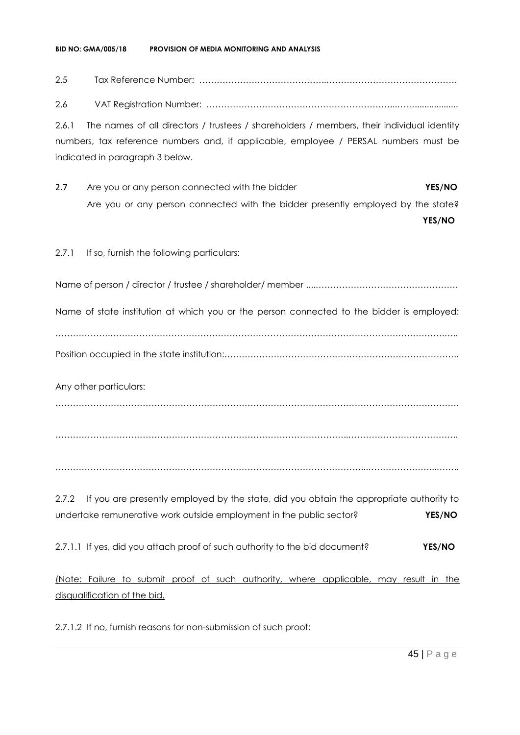#### **BID NO: GMA/005/18 PROVISION OF MEDIA MONITORING AND ANALYSIS**

# 2.5 Tax Reference Number: ……………………………………..………………………………………

2.6 VAT Registration Number: ………………………………………………………...……..................

2.6.1 The names of all directors / trustees / shareholders / members, their individual identity numbers, tax reference numbers and, if applicable, employee / PERSAL numbers must be indicated in paragraph 3 below.

2.7 Are you or any person connected with the bidder **YES/NO** Are you or any person connected with the bidder presently employed by the state?

**YES/NO**

2.7.1 If so, furnish the following particulars:

Name of person / director / trustee / shareholder/ member ....………………………………………….

Name of state institution at which you or the person connected to the bidder is employed:

……………….…………………………………………………………………………………………………….….. Position occupied in the state institution:…………………………………….………………………………..

Any other particulars:

……………………………………………………………………………….…………………………………………

………………………………………………………………………………………..………………………………..

……………………………………………………………………………………………...…………………...……..

2.7.2 If you are presently employed by the state, did you obtain the appropriate authority to undertake remunerative work outside employment in the public sector? **YES/NO**

2.7.1.1 If yes, did you attach proof of such authority to the bid document? **YES/NO**

(Note: Failure to submit proof of such authority, where applicable, may result in the disqualification of the bid.

2.7.1.2 If no, furnish reasons for non-submission of such proof: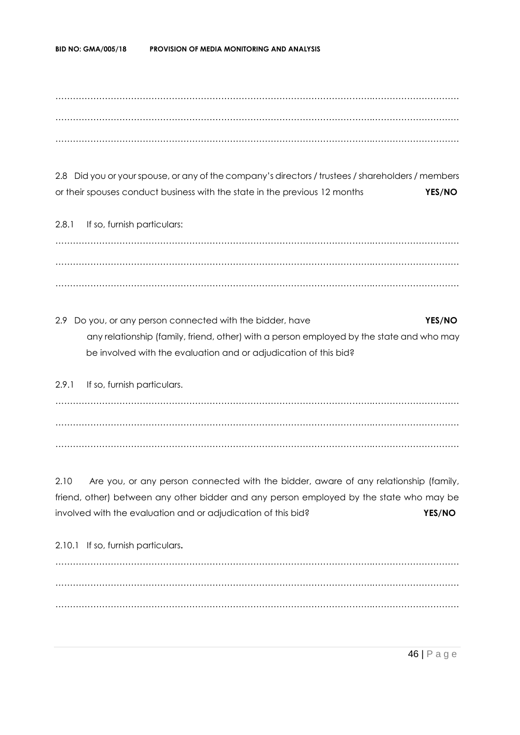……………………………………………………………………………………………….………………………… ……………………………………………………………………………………………….………………………… ……………………………………………………………………………………………….…………………………

2.8 Did you or your spouse, or any of the company's directors / trustees / shareholders / members or their spouses conduct business with the state in the previous 12 months **YES/NO**

2.8.1 If so, furnish particulars: ……………………………………………………………………………………………….………………………… ……………………………………………………………………………………………….………………………… ……………………………………………………………………………………………….…………………………

2.9 Do you, or any person connected with the bidder, have **YES/NO** any relationship (family, friend, other) with a person employed by the state and who may be involved with the evaluation and or adjudication of this bid?

2.9.1 If so, furnish particulars. ……………………………………………………………………………………………….………………………… ……………………………………………………………………………………………….………………………… ……………………………………………………………………………………………….…………………………

2.10 Are you, or any person connected with the bidder, aware of any relationship (family, friend, other) between any other bidder and any person employed by the state who may be involved with the evaluation and or adjudication of this bid? **YES/NO**

2.10.1 If so, furnish particulars**.** ……………………………………………………………………………………………….………………………… ……………………………………………………………………………………………….………………………… ……………………………………………………………………………………………….…………………………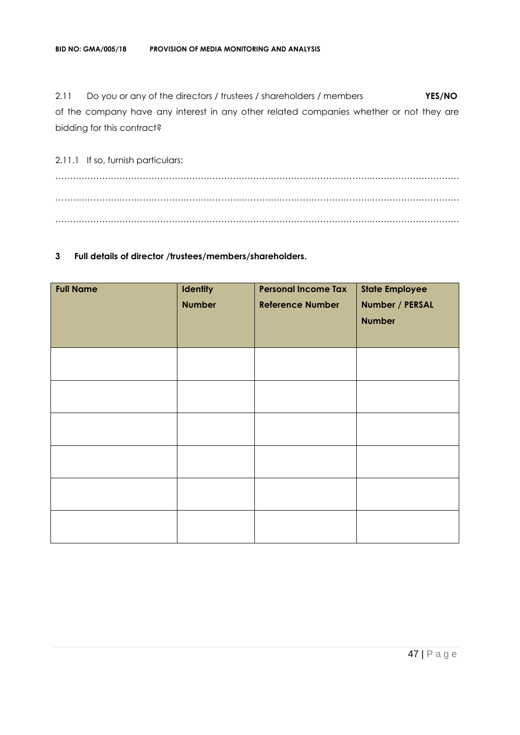2.11 Do you or any of the directors / trustees / shareholders / members **YES/NO** of the company have any interest in any other related companies whether or not they are bidding for this contract?

2.11.1 If so, furnish particulars: ……………………………………………………………………………………………….………………………… ……………………………………………………………………………………………….………………………… ……………………………………………………………………………………………….…………………………

#### **3 Full details of director /trustees/members/shareholders.**

| <b>Full Name</b> | Identity<br><b>Number</b> | <b>Personal Income Tax</b><br><b>Reference Number</b> | <b>State Employee</b><br>Number / PERSAL<br><b>Number</b> |
|------------------|---------------------------|-------------------------------------------------------|-----------------------------------------------------------|
|                  |                           |                                                       |                                                           |
|                  |                           |                                                       |                                                           |
|                  |                           |                                                       |                                                           |
|                  |                           |                                                       |                                                           |
|                  |                           |                                                       |                                                           |
|                  |                           |                                                       |                                                           |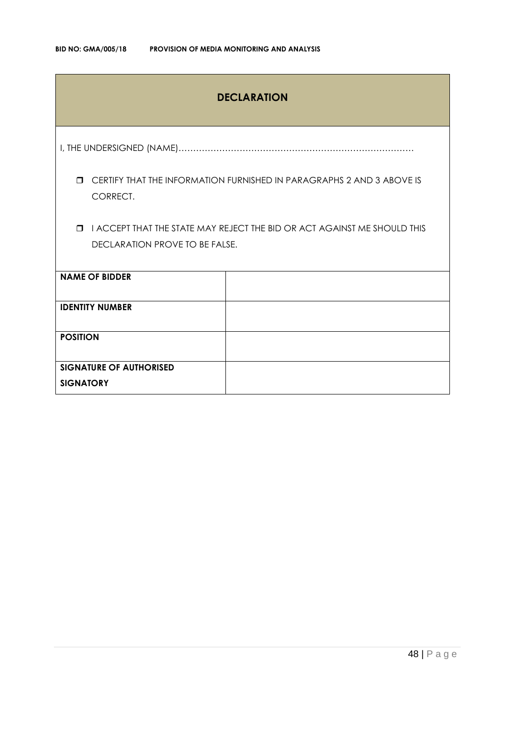# **DECLARATION**

I, THE UNDERSIGNED (NAME)………………………………………………………………………

 CERTIFY THAT THE INFORMATION FURNISHED IN PARAGRAPHS 2 AND 3 ABOVE IS CORRECT.

 I ACCEPT THAT THE STATE MAY REJECT THE BID OR ACT AGAINST ME SHOULD THIS DECLARATION PROVE TO BE FALSE.

| <b>NAME OF BIDDER</b>          |  |
|--------------------------------|--|
| <b>IDENTITY NUMBER</b>         |  |
| <b>POSITION</b>                |  |
| <b>SIGNATURE OF AUTHORISED</b> |  |
| <b>SIGNATORY</b>               |  |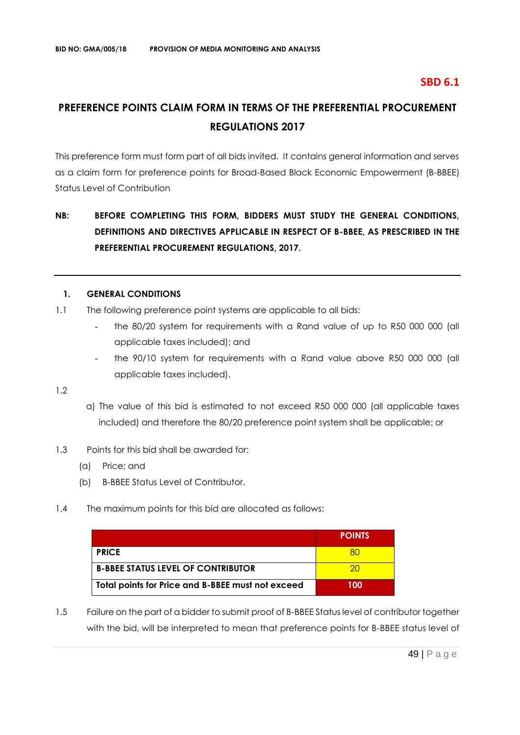# **SBD 6.1**

# **PREFERENCE POINTS CLAIM FORM IN TERMS OF THE PREFERENTIAL PROCUREMENT REGULATIONS 2017**

This preference form must form part of all bids invited. It contains general information and serves as a claim form for preference points for Broad-Based Black Economic Empowerment (B-BBEE) Status Level of Contribution

# **NB: BEFORE COMPLETING THIS FORM, BIDDERS MUST STUDY THE GENERAL CONDITIONS, DEFINITIONS AND DIRECTIVES APPLICABLE IN RESPECT OF B-BBEE, AS PRESCRIBED IN THE PREFERENTIAL PROCUREMENT REGULATIONS, 2017.**

#### **1. GENERAL CONDITIONS**

- 1.1 The following preference point systems are applicable to all bids:
	- the 80/20 system for requirements with a Rand value of up to R50 000 000 (all applicable taxes included); and
	- the 90/10 system for requirements with a Rand value above R50 000 000 (all applicable taxes included).

1.2

- a) The value of this bid is estimated to not exceed R50 000 000 (all applicable taxes included) and therefore the 80/20 preference point system shall be applicable; or
- 1.3 Points for this bid shall be awarded for:
	- (a) Price; and
	- (b) B-BBEE Status Level of Contributor.
- 1.4 The maximum points for this bid are allocated as follows:

|                                                   | <b>POINTS</b> |
|---------------------------------------------------|---------------|
| <b>PRICE</b>                                      |               |
| <b>B-BBEE STATUS LEVEL OF CONTRIBUTOR</b>         | חל            |
| Total points for Price and B-BBEE must not exceed | 100           |

1.5 Failure on the part of a bidder to submit proof of B-BBEE Status level of contributor together with the bid, will be interpreted to mean that preference points for B-BBEE status level of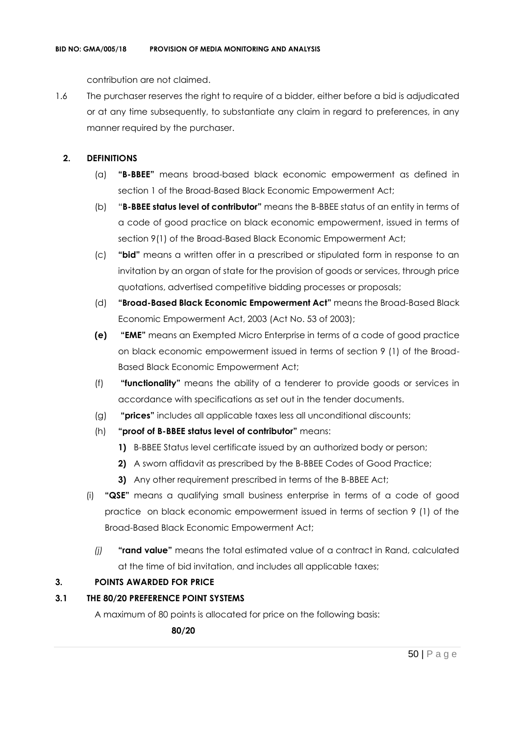contribution are not claimed.

1.6 The purchaser reserves the right to require of a bidder, either before a bid is adjudicated or at any time subsequently, to substantiate any claim in regard to preferences, in any manner required by the purchaser.

### **2. DEFINITIONS**

- (a) **"B-BBEE"** means broad-based black economic empowerment as defined in section 1 of the Broad-Based Black Economic Empowerment Act;
- (b) "**B-BBEE status level of contributor"** means the B-BBEE status of an entity in terms of a code of good practice on black economic empowerment, issued in terms of section 9(1) of the Broad-Based Black Economic Empowerment Act;
- (c) **"bid"** means a written offer in a prescribed or stipulated form in response to an invitation by an organ of state for the provision of goods or services, through price quotations, advertised competitive bidding processes or proposals;
- (d) **"Broad-Based Black Economic Empowerment Act"** means the Broad-Based Black Economic Empowerment Act, 2003 (Act No. 53 of 2003);
- **(e) "EME"** means an Exempted Micro Enterprise in terms of a code of good practice on black economic empowerment issued in terms of section 9 (1) of the Broad-Based Black Economic Empowerment Act;
- (f) **"functionality"** means the ability of a tenderer to provide goods or services in accordance with specifications as set out in the tender documents.
- (g) **"prices"** includes all applicable taxes less all unconditional discounts;
- (h) **"proof of B-BBEE status level of contributor"** means:
	- **1)** B-BBEE Status level certificate issued by an authorized body or person;
	- **2)** A sworn affidavit as prescribed by the B-BBEE Codes of Good Practice;
	- **3)** Any other requirement prescribed in terms of the B-BBEE Act;
- (i) **"QSE"** means a qualifying small business enterprise in terms of a code of good practice on black economic empowerment issued in terms of section 9 (1) of the Broad-Based Black Economic Empowerment Act;
	- *(j)* **"rand value"** means the total estimated value of a contract in Rand, calculated at the time of bid invitation, and includes all applicable taxes;

# **3. POINTS AWARDED FOR PRICE**

#### **3.1 THE 80/20 PREFERENCE POINT SYSTEMS**

A maximum of 80 points is allocated for price on the following basis:

 **80/20**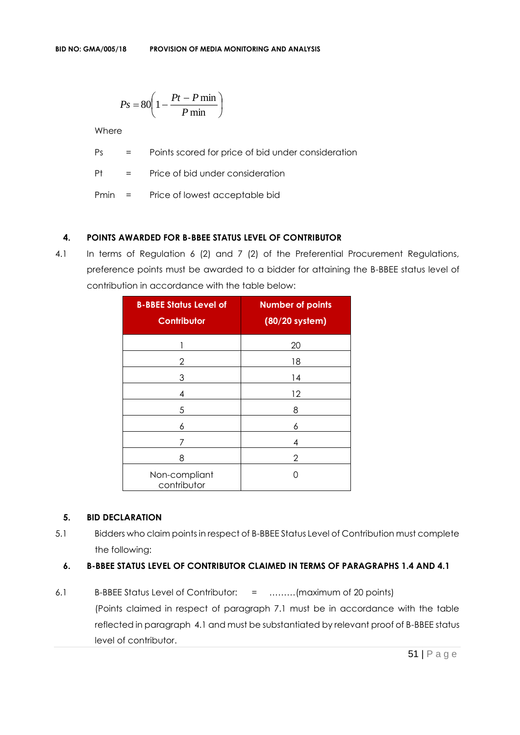$$
Ps = 80 \left( 1 - \frac{Pt - P \min}{P \min} \right)
$$

Where

Ps = Points scored for price of bid under consideration

Pt = Price of bid under consideration

Pmin = Price of lowest acceptable bid

#### **4. POINTS AWARDED FOR B-BBEE STATUS LEVEL OF CONTRIBUTOR**

4.1 In terms of Regulation 6 (2) and 7 (2) of the Preferential Procurement Regulations, preference points must be awarded to a bidder for attaining the B-BBEE status level of contribution in accordance with the table below:

| <b>B-BBEE Status Level of</b><br>Contributor | <b>Number of points</b><br>(80/20 system) |
|----------------------------------------------|-------------------------------------------|
|                                              | 20                                        |
| 2                                            | 18                                        |
| 3                                            | 14                                        |
| 4                                            | 12                                        |
| 5                                            | 8                                         |
| 6                                            | 6                                         |
| 7                                            | 4                                         |
| 8                                            | 2                                         |
| Non-compliant<br>contributor                 | П                                         |

#### **5. BID DECLARATION**

5.1 Bidders who claim points in respect of B-BBEE Status Level of Contribution must complete the following:

#### **6. B-BBEE STATUS LEVEL OF CONTRIBUTOR CLAIMED IN TERMS OF PARAGRAPHS 1.4 AND 4.1**

6.1 B-BBEE Status Level of Contributor: = ………(maximum of 20 points) (Points claimed in respect of paragraph 7.1 must be in accordance with the table reflected in paragraph 4.1 and must be substantiated by relevant proof of B-BBEE status level of contributor.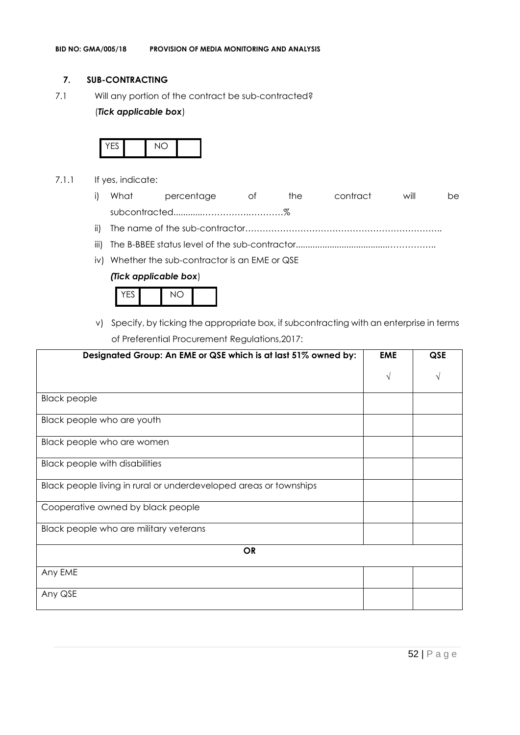#### **7. SUB-CONTRACTING**

7.1 Will any portion of the contract be sub-contracted?

#### (*Tick applicable box*)



- 7.1.1 If yes, indicate:
	- i) What percentage of the contract will be subcontracted............…………….…………%
	- ii) The name of the sub-contractor…………………………………………………………..
	- iii) The B-BBEE status level of the sub-contractor......................................……………..
	- iv) Whether the sub-contractor is an EME or QSE

#### *(Tick applicable box*)

|--|

v) Specify, by ticking the appropriate box, if subcontracting with an enterprise in terms of Preferential Procurement Regulations,2017:

| Designated Group: An EME or QSE which is at last 51% owned by:    | <b>EME</b> | QSE |
|-------------------------------------------------------------------|------------|-----|
|                                                                   | N          |     |
| <b>Black people</b>                                               |            |     |
| Black people who are youth                                        |            |     |
| Black people who are women                                        |            |     |
| <b>Black people with disabilities</b>                             |            |     |
| Black people living in rural or underdeveloped areas or townships |            |     |
| Cooperative owned by black people                                 |            |     |
| Black people who are military veterans                            |            |     |
| <b>OR</b>                                                         |            |     |
| Any EME                                                           |            |     |
| Any QSE                                                           |            |     |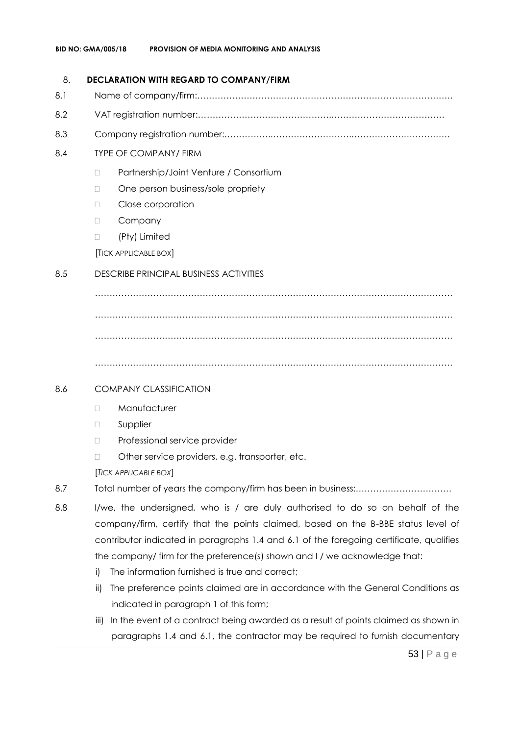#### 8. **DECLARATION WITH REGARD TO COMPANY/FIRM**

- 8.1 Name of company/firm:…………………………………………………………………………….
- 8.2 VAT registration number:……………………………………….…………………………………
- 8.3 Company registration number:…………….……………………….…………………………….

#### 8.4 TYPE OF COMPANY/ FIRM

- □ Partnership/Joint Venture / Consortium
- □ One person business/sole propriety
- D Close corporation
- D Company
- (Pty) Limited

[TICK APPLICABLE BOX]

#### 8.5 DESCRIBE PRINCIPAL BUSINESS ACTIVITIES

…………………………………………………………………………………………………………… …………………………………………………………………………………………………………… ……………………………………………………………………………………………………………

……………………………………………………………………………………………………………

#### 8.6 COMPANY CLASSIFICATION

- D Manufacturer
- **D** Supplier
- D Professional service provider
- □ Other service providers, e.g. transporter, etc.

[*TICK APPLICABLE BOX*]

- 8.7 Total number of years the company/firm has been in business:……………………………
- 8.8 I/we, the undersigned, who is / are duly authorised to do so on behalf of the company/firm, certify that the points claimed, based on the B-BBE status level of contributor indicated in paragraphs 1.4 and 6.1 of the foregoing certificate, qualifies the company/ firm for the preference(s) shown and I / we acknowledge that:
	- i) The information furnished is true and correct;
	- ii) The preference points claimed are in accordance with the General Conditions as indicated in paragraph 1 of this form;
	- iii) In the event of a contract being awarded as a result of points claimed as shown in paragraphs 1.4 and 6.1, the contractor may be required to furnish documentary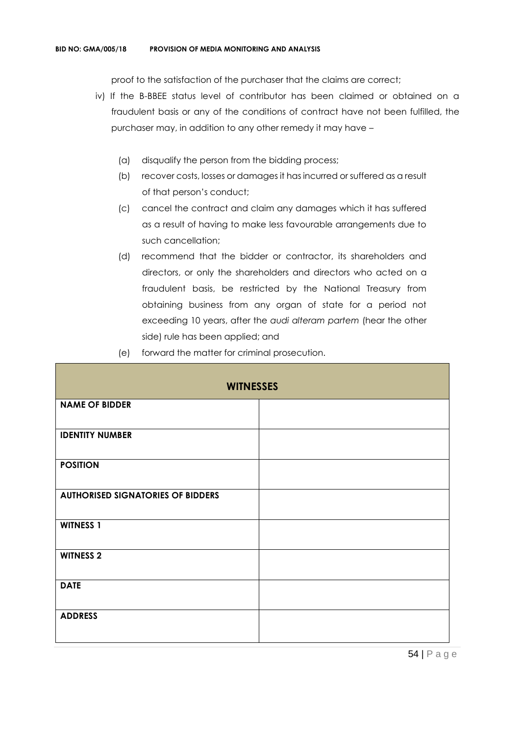proof to the satisfaction of the purchaser that the claims are correct;

- iv) If the B-BBEE status level of contributor has been claimed or obtained on a fraudulent basis or any of the conditions of contract have not been fulfilled, the purchaser may, in addition to any other remedy it may have –
	- (a) disqualify the person from the bidding process;
	- (b) recover costs, losses or damages it has incurred or suffered as a result of that person's conduct;
	- (c) cancel the contract and claim any damages which it has suffered as a result of having to make less favourable arrangements due to such cancellation;
	- (d) recommend that the bidder or contractor, its shareholders and directors, or only the shareholders and directors who acted on a fraudulent basis, be restricted by the National Treasury from obtaining business from any organ of state for a period not exceeding 10 years, after the *audi alteram partem* (hear the other side) rule has been applied; and
	- (e) forward the matter for criminal prosecution.

| <b>WITNESSES</b>                         |  |  |
|------------------------------------------|--|--|
| <b>NAME OF BIDDER</b>                    |  |  |
| <b>IDENTITY NUMBER</b>                   |  |  |
| <b>POSITION</b>                          |  |  |
| <b>AUTHORISED SIGNATORIES OF BIDDERS</b> |  |  |
| <b>WITNESS 1</b>                         |  |  |
| <b>WITNESS 2</b>                         |  |  |
| <b>DATE</b>                              |  |  |
| <b>ADDRESS</b>                           |  |  |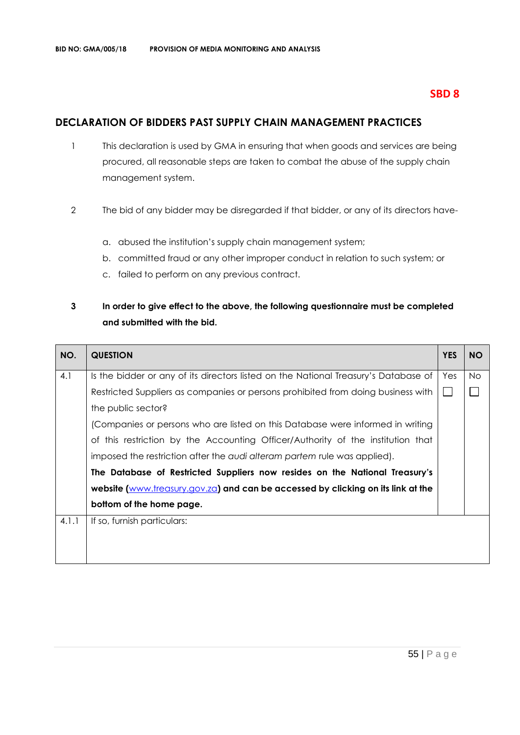### **SBD 8**

# **DECLARATION OF BIDDERS PAST SUPPLY CHAIN MANAGEMENT PRACTICES**

- 1 This declaration is used by GMA in ensuring that when goods and services are being procured, all reasonable steps are taken to combat the abuse of the supply chain management system.
- 2 The bid of any bidder may be disregarded if that bidder, or any of its directors have
	- a. abused the institution's supply chain management system;
	- b. committed fraud or any other improper conduct in relation to such system; or
	- c. failed to perform on any previous contract.

# **3 In order to give effect to the above, the following questionnaire must be completed and submitted with the bid.**

| NO.   | <b>QUESTION</b>                                                                     | <b>YES</b> | <b>NO</b> |
|-------|-------------------------------------------------------------------------------------|------------|-----------|
| 4.1   | Is the bidder or any of its directors listed on the National Treasury's Database of | Yes        | No.       |
|       | Restricted Suppliers as companies or persons prohibited from doing business with    |            |           |
|       | the public sector?                                                                  |            |           |
|       | (Companies or persons who are listed on this Database were informed in writing      |            |           |
|       | of this restriction by the Accounting Officer/Authority of the institution that     |            |           |
|       | imposed the restriction after the audi alteram partem rule was applied).            |            |           |
|       | The Database of Restricted Suppliers now resides on the National Treasury's         |            |           |
|       | website (www.treasury.gov.za) and can be accessed by clicking on its link at the    |            |           |
|       | bottom of the home page.                                                            |            |           |
| 4.1.1 | If so, furnish particulars:                                                         |            |           |
|       |                                                                                     |            |           |
|       |                                                                                     |            |           |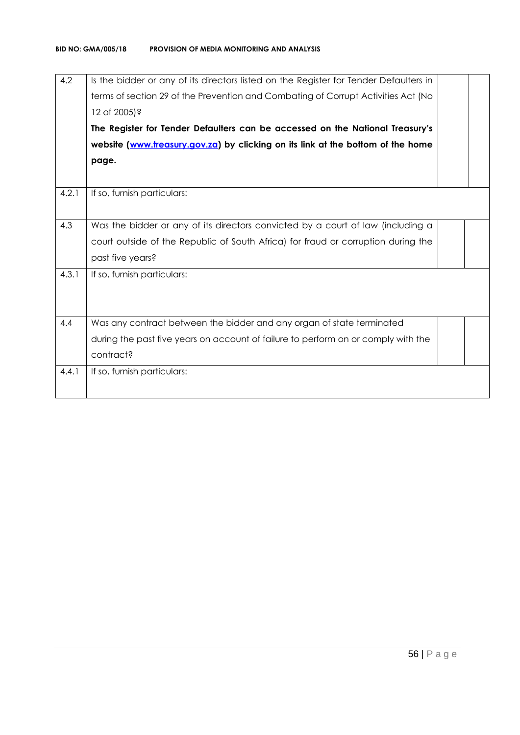| 4.2   | Is the bidder or any of its directors listed on the Register for Tender Defaulters in<br>terms of section 29 of the Prevention and Combating of Corrupt Activities Act (No<br>12 of 2005)?<br>The Register for Tender Defaulters can be accessed on the National Treasury's<br>website (www.treasury.gov.za) by clicking on its link at the bottom of the home<br>page. |  |
|-------|-------------------------------------------------------------------------------------------------------------------------------------------------------------------------------------------------------------------------------------------------------------------------------------------------------------------------------------------------------------------------|--|
|       |                                                                                                                                                                                                                                                                                                                                                                         |  |
| 4.2.1 | If so, furnish particulars:                                                                                                                                                                                                                                                                                                                                             |  |
| 4.3   | Was the bidder or any of its directors convicted by a court of law (including a                                                                                                                                                                                                                                                                                         |  |
|       | court outside of the Republic of South Africa) for fraud or corruption during the                                                                                                                                                                                                                                                                                       |  |
|       | past five years?                                                                                                                                                                                                                                                                                                                                                        |  |
| 4.3.1 | If so, furnish particulars:                                                                                                                                                                                                                                                                                                                                             |  |
|       |                                                                                                                                                                                                                                                                                                                                                                         |  |
| 4.4   | Was any contract between the bidder and any organ of state terminated                                                                                                                                                                                                                                                                                                   |  |
|       | during the past five years on account of failure to perform on or comply with the                                                                                                                                                                                                                                                                                       |  |
|       | contract?                                                                                                                                                                                                                                                                                                                                                               |  |
| 4.4.1 | If so, furnish particulars:                                                                                                                                                                                                                                                                                                                                             |  |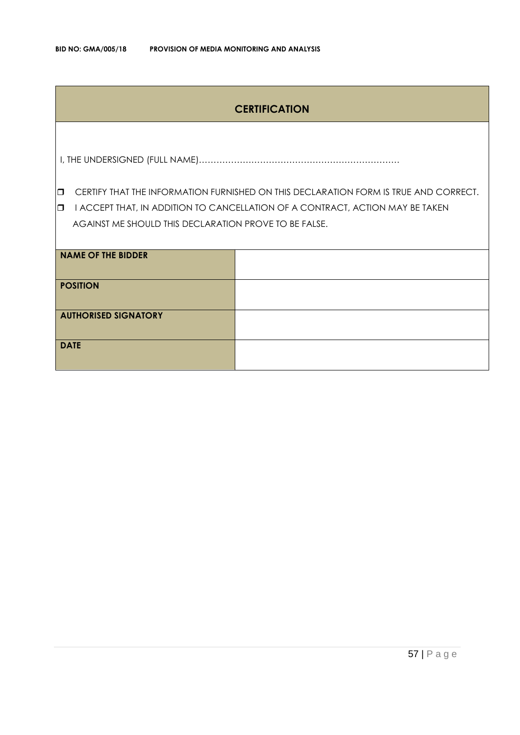# **CERTIFICATION**

I, THE UNDERSIGNED (FULL NAME)……………………………………………………………

**CERTIFY THAT THE INFORMATION FURNISHED ON THIS DECLARATION FORM IS TRUE AND CORRECT.** 

**I I ACCEPT THAT, IN ADDITION TO CANCELLATION OF A CONTRACT, ACTION MAY BE TAKEN** AGAINST ME SHOULD THIS DECLARATION PROVE TO BE FALSE.

| <b>NAME OF THE BIDDER</b>   |  |
|-----------------------------|--|
| <b>POSITION</b>             |  |
| <b>AUTHORISED SIGNATORY</b> |  |
| <b>DATE</b>                 |  |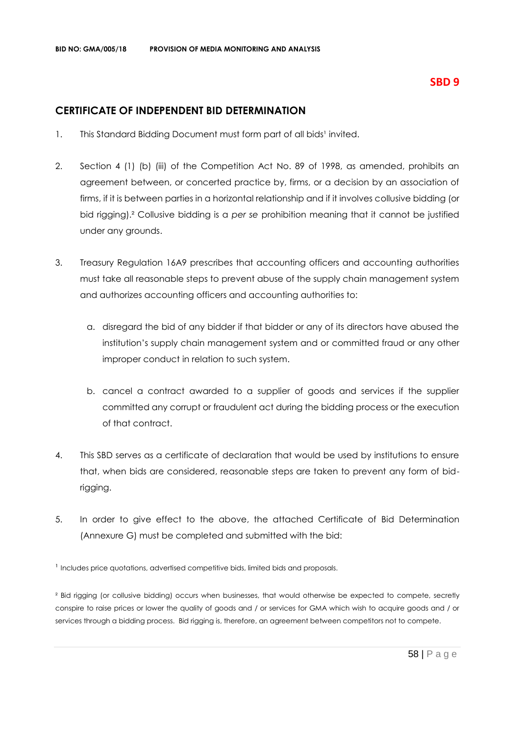# **CERTIFICATE OF INDEPENDENT BID DETERMINATION**

- 1. This Standard Bidding Document must form part of all bids<sup>1</sup> invited.
- 2. Section 4 (1) (b) (iii) of the Competition Act No. 89 of 1998, as amended, prohibits an agreement between, or concerted practice by, firms, or a decision by an association of firms, if it is between parties in a horizontal relationship and if it involves collusive bidding (or bid rigging).² Collusive bidding is a *per se* prohibition meaning that it cannot be justified under any grounds.
- 3. Treasury Regulation 16A9 prescribes that accounting officers and accounting authorities must take all reasonable steps to prevent abuse of the supply chain management system and authorizes accounting officers and accounting authorities to:
	- a. disregard the bid of any bidder if that bidder or any of its directors have abused the institution's supply chain management system and or committed fraud or any other improper conduct in relation to such system.
	- b. cancel a contract awarded to a supplier of goods and services if the supplier committed any corrupt or fraudulent act during the bidding process or the execution of that contract.
- 4. This SBD serves as a certificate of declaration that would be used by institutions to ensure that, when bids are considered, reasonable steps are taken to prevent any form of bidrigging.
- 5. In order to give effect to the above, the attached Certificate of Bid Determination (Annexure G) must be completed and submitted with the bid:

<sup>1</sup> Includes price quotations, advertised competitive bids, limited bids and proposals.

<sup>2</sup> Bid rigging (or collusive bidding) occurs when businesses, that would otherwise be expected to compete, secretly conspire to raise prices or lower the quality of goods and / or services for GMA which wish to acquire goods and / or services through a bidding process. Bid rigging is, therefore, an agreement between competitors not to compete.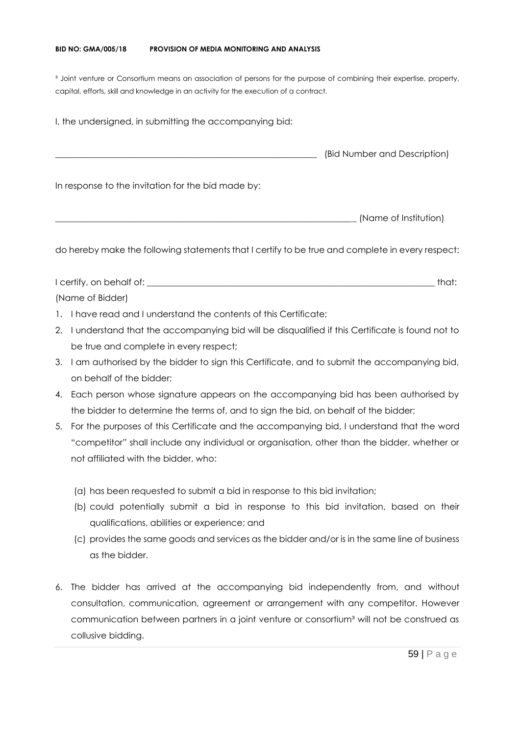#### **BID NO: GMA/005/18 PROVISION OF MEDIA MONITORING AND ANALYSIS**

<sup>3</sup> Joint venture or Consortium means an association of persons for the purpose of combining their expertise, property, capital, efforts, skill and knowledge in an activity for the execution of a contract.

I, the undersigned, in submitting the accompanying bid: \_\_\_\_\_\_\_\_\_\_\_\_\_\_\_\_\_\_\_\_\_\_\_\_\_\_\_\_\_\_\_\_\_\_\_\_\_\_\_\_\_\_\_\_\_\_\_\_\_\_\_\_\_\_\_\_\_\_\_\_ (Bid Number and Description) In response to the invitation for the bid made by: \_\_\_\_\_\_\_\_\_\_\_\_\_\_\_\_\_\_\_\_\_\_\_\_\_\_\_\_\_\_\_\_\_\_\_\_\_\_\_\_\_\_\_\_\_\_\_\_\_\_\_\_\_\_\_\_\_\_\_\_\_\_\_\_\_\_\_\_\_ (Name of Institution)

do hereby make the following statements that I certify to be true and complete in every respect:

I certify, on behalf of: the state of the state of the state of the state of the state of the state of the state of the state of the state of the state of the state of the state of the state of the state of the state of th (Name of Bidder)

- 1. I have read and I understand the contents of this Certificate;
- 2. I understand that the accompanying bid will be disqualified if this Certificate is found not to be true and complete in every respect;
- 3. I am authorised by the bidder to sign this Certificate, and to submit the accompanying bid, on behalf of the bidder;
- 4. Each person whose signature appears on the accompanying bid has been authorised by the bidder to determine the terms of, and to sign the bid, on behalf of the bidder;
- 5. For the purposes of this Certificate and the accompanying bid, I understand that the word "competitor" shall include any individual or organisation, other than the bidder, whether or not affiliated with the bidder, who:
	- (a) has been requested to submit a bid in response to this bid invitation;
	- (b) could potentially submit a bid in response to this bid invitation, based on their qualifications, abilities or experience; and
	- (c) provides the same goods and services as the bidder and/or is in the same line of business as the bidder.
- 6. The bidder has arrived at the accompanying bid independently from, and without consultation, communication, agreement or arrangement with any competitor. However communication between partners in a joint venture or consortium<sup>3</sup> will not be construed as collusive bidding.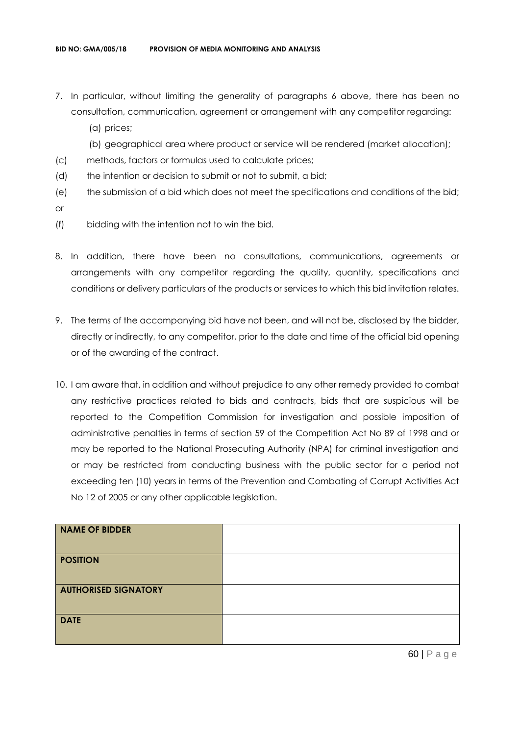- 7. In particular, without limiting the generality of paragraphs 6 above, there has been no consultation, communication, agreement or arrangement with any competitor regarding:
	- (a) prices;
	- (b) geographical area where product or service will be rendered (market allocation);
- (c) methods, factors or formulas used to calculate prices;
- (d) the intention or decision to submit or not to submit, a bid;
- (e) the submission of a bid which does not meet the specifications and conditions of the bid; or
- (f) bidding with the intention not to win the bid.
- 8. In addition, there have been no consultations, communications, agreements or arrangements with any competitor regarding the quality, quantity, specifications and conditions or delivery particulars of the products or services to which this bid invitation relates.
- 9. The terms of the accompanying bid have not been, and will not be, disclosed by the bidder, directly or indirectly, to any competitor, prior to the date and time of the official bid opening or of the awarding of the contract.
- 10. I am aware that, in addition and without prejudice to any other remedy provided to combat any restrictive practices related to bids and contracts, bids that are suspicious will be reported to the Competition Commission for investigation and possible imposition of administrative penalties in terms of section 59 of the Competition Act No 89 of 1998 and or may be reported to the National Prosecuting Authority (NPA) for criminal investigation and or may be restricted from conducting business with the public sector for a period not exceeding ten (10) years in terms of the Prevention and Combating of Corrupt Activities Act No 12 of 2005 or any other applicable legislation.

| NAME OF BIDDER              |  |
|-----------------------------|--|
| <b>POSITION</b>             |  |
| <b>AUTHORISED SIGNATORY</b> |  |
| <b>DATE</b>                 |  |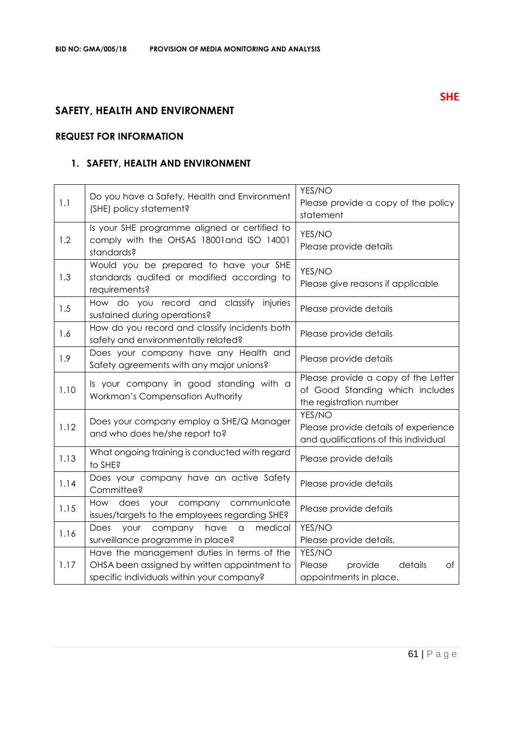# **SAFETY, HEALTH AND ENVIRONMENT**

### **REQUEST FOR INFORMATION**

# **1. SAFETY, HEALTH AND ENVIRONMENT**

| 1.1  | Do you have a Safety, Health and Environment<br>(SHE) policy statement?                                                                 | YES/NO<br>Please provide a copy of the policy<br>statement                                        |
|------|-----------------------------------------------------------------------------------------------------------------------------------------|---------------------------------------------------------------------------------------------------|
| 1.2  | Is your SHE programme aligned or certified to<br>comply with the OHSAS 18001 and ISO 14001<br>standards?                                | YES/NO<br>Please provide details                                                                  |
| 1.3  | Would you be prepared to have your SHE<br>standards audited or modified according to<br>requirements?                                   | YES/NO<br>Please give reasons if applicable                                                       |
| 1.5  | How do you record and classify injuries<br>sustained during operations?                                                                 | Please provide details                                                                            |
| 1.6  | How do you record and classify incidents both<br>safety and environmentally related?                                                    | Please provide details                                                                            |
| 1.9  | Does your company have any Health and<br>Safety agreements with any major unions?                                                       | Please provide details                                                                            |
| 1.10 | Is your company in good standing with a<br>Workman's Compensation Authority                                                             | Please provide a copy of the Letter<br>of Good Standing which includes<br>the registration number |
| 1.12 | Does your company employ a SHE/Q Manager<br>and who does he/she report to?                                                              | YES/NO<br>Please provide details of experience<br>and qualifications of this individual           |
| 1.13 | What ongoing training is conducted with regard<br>to SHE?                                                                               | Please provide details                                                                            |
| 1.14 | Does your company have an active Safety<br>Committee?                                                                                   | Please provide details                                                                            |
| 1.15 | How does your company communicate<br>issues/targets to the employees regarding SHE?                                                     | Please provide details                                                                            |
| 1.16 | medical<br>Does<br>your<br>company<br>have<br>$\hbox{\tt C}$<br>surveillance programme in place?                                        | YES/NO<br>Please provide details,                                                                 |
| 1.17 | Have the management duties in terms of the<br>OHSA been assigned by written appointment to<br>specific individuals within your company? | YES/NO<br>details<br>Please<br>provide<br>оf<br>appointments in place.                            |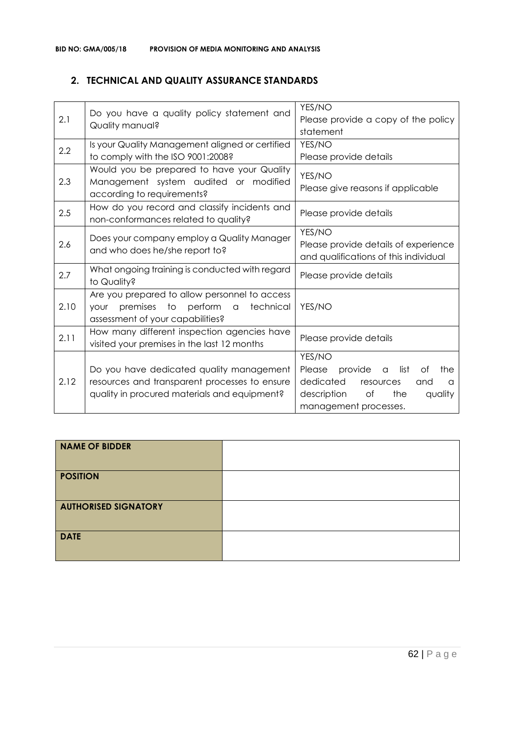## **2. TECHNICAL AND QUALITY ASSURANCE STANDARDS**

| 2.1  | Do you have a quality policy statement and<br>Quality manual?                                                                             | YES/NO<br>Please provide a copy of the policy<br>statement                                                                                                         |
|------|-------------------------------------------------------------------------------------------------------------------------------------------|--------------------------------------------------------------------------------------------------------------------------------------------------------------------|
| 2.2  | Is your Quality Management aligned or certified<br>to comply with the ISO 9001:2008?                                                      | YES/NO<br>Please provide details                                                                                                                                   |
| 2.3  | Would you be prepared to have your Quality<br>Management system audited or modified<br>according to requirements?                         | YES/NO<br>Please give reasons if applicable                                                                                                                        |
| 2.5  | How do you record and classify incidents and<br>non-conformances related to quality?                                                      | Please provide details                                                                                                                                             |
| 2.6  | Does your company employ a Quality Manager<br>and who does he/she report to?                                                              | YES/NO<br>Please provide details of experience<br>and qualifications of this individual                                                                            |
| 2.7  | What ongoing training is conducted with regard<br>to Quality?                                                                             | Please provide details                                                                                                                                             |
| 2.10 | Are you prepared to allow personnel to access<br>premises to perform a<br>technical<br><b>YOUr</b><br>assessment of your capabilities?    | YES/NO                                                                                                                                                             |
| 2.11 | How many different inspection agencies have<br>visited your premises in the last 12 months                                                | Please provide details                                                                                                                                             |
| 2.12 | Do you have dedicated quality management<br>resources and transparent processes to ensure<br>quality in procured materials and equipment? | YES/NO<br>provide<br>list<br>Please<br>Оf<br>the<br>$\alpha$<br>dedicated<br>resources<br>and<br>a<br>description<br>of<br>the<br>quality<br>management processes. |

| <b>NAME OF BIDDER</b>       |  |
|-----------------------------|--|
| <b>POSITION</b>             |  |
| <b>AUTHORISED SIGNATORY</b> |  |
| <b>DATE</b>                 |  |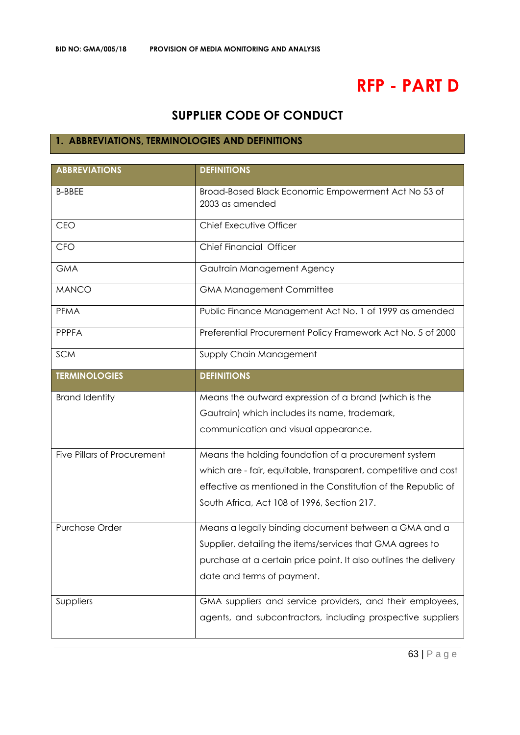# **RFP - PART D**

# **SUPPLIER CODE OF CONDUCT**

# **1. ABBREVIATIONS, TERMINOLOGIES AND DEFINITIONS**

| <b>ABBREVIATIONS</b>               | <b>DEFINITIONS</b>                                                     |  |
|------------------------------------|------------------------------------------------------------------------|--|
| <b>B-BBEE</b>                      | Broad-Based Black Economic Empowerment Act No 53 of<br>2003 as amended |  |
| <b>CEO</b>                         | Chief Executive Officer                                                |  |
| <b>CFO</b>                         | Chief Financial Officer                                                |  |
| <b>GMA</b>                         | Gautrain Management Agency                                             |  |
| <b>MANCO</b>                       | <b>GMA Management Committee</b>                                        |  |
| <b>PFMA</b>                        | Public Finance Management Act No. 1 of 1999 as amended                 |  |
| <b>PPPFA</b>                       | Preferential Procurement Policy Framework Act No. 5 of 2000            |  |
| <b>SCM</b>                         | Supply Chain Management                                                |  |
| <b>TERMINOLOGIES</b>               | <b>DEFINITIONS</b>                                                     |  |
| <b>Brand Identity</b>              | Means the outward expression of a brand (which is the                  |  |
|                                    | Gautrain) which includes its name, trademark,                          |  |
|                                    | communication and visual appearance.                                   |  |
| <b>Five Pillars of Procurement</b> | Means the holding foundation of a procurement system                   |  |
|                                    | which are - fair, equitable, transparent, competitive and cost         |  |
|                                    | effective as mentioned in the Constitution of the Republic of          |  |
|                                    | South Africa, Act 108 of 1996, Section 217.                            |  |
| Purchase Order                     | Means a legally binding document between a GMA and a                   |  |
|                                    | Supplier, detailing the items/services that GMA agrees to              |  |
|                                    | purchase at a certain price point. It also outlines the delivery       |  |
|                                    | date and terms of payment.                                             |  |
| Suppliers                          | GMA suppliers and service providers, and their employees,              |  |
|                                    | agents, and subcontractors, including prospective suppliers            |  |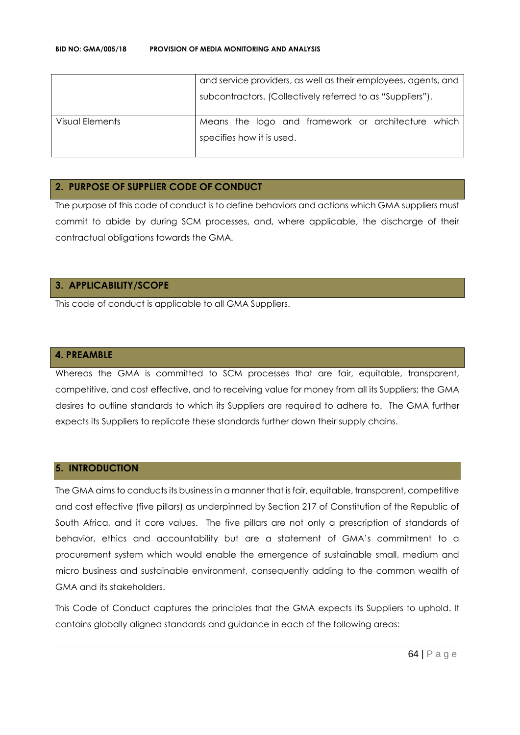|                 | and service providers, as well as their employees, agents, and |  |  |
|-----------------|----------------------------------------------------------------|--|--|
|                 | subcontractors. (Collectively referred to as "Suppliers").     |  |  |
| Visual Elements | Means the logo and framework or architecture which             |  |  |
|                 | specifies how it is used.                                      |  |  |
|                 |                                                                |  |  |

#### **2. PURPOSE OF SUPPLIER CODE OF CONDUCT**

The purpose of this code of conduct is to define behaviors and actions which GMA suppliers must commit to abide by during SCM processes, and, where applicable, the discharge of their contractual obligations towards the GMA.

#### **3. APPLICABILITY/SCOPE**

This code of conduct is applicable to all GMA Suppliers.

#### **4. PREAMBLE**

Whereas the GMA is committed to SCM processes that are fair, equitable, transparent, competitive, and cost effective, and to receiving value for money from all its Suppliers; the GMA desires to outline standards to which its Suppliers are required to adhere to. The GMA further expects its Suppliers to replicate these standards further down their supply chains.

#### **5. INTRODUCTION**

The GMA aims to conducts its business in a manner that is fair, equitable, transparent, competitive and cost effective (five pillars) as underpinned by Section 217 of Constitution of the Republic of South Africa, and it core values. The five pillars are not only a prescription of standards of behavior, ethics and accountability but are a statement of GMA's commitment to a procurement system which would enable the emergence of sustainable small, medium and micro business and sustainable environment, consequently adding to the common wealth of GMA and its stakeholders.

This Code of Conduct captures the principles that the GMA expects its Suppliers to uphold. It contains globally aligned standards and guidance in each of the following areas: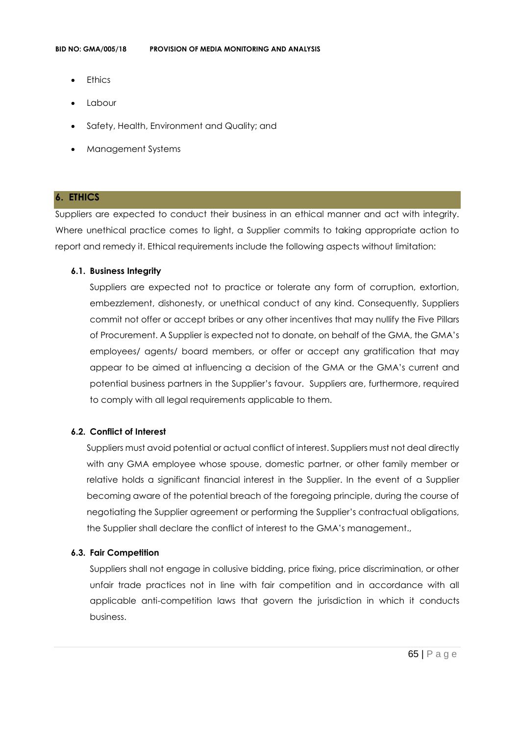- **Ethics**
- Labour
- Safety, Health, Environment and Quality; and
- Management Systems

#### **6. ETHICS**

Suppliers are expected to conduct their business in an ethical manner and act with integrity. Where unethical practice comes to light, a Supplier commits to taking appropriate action to report and remedy it. Ethical requirements include the following aspects without limitation:

#### **6.1. Business Integrity**

Suppliers are expected not to practice or tolerate any form of corruption, extortion, embezzlement, dishonesty, or unethical conduct of any kind. Consequently, Suppliers commit not offer or accept bribes or any other incentives that may nullify the Five Pillars of Procurement. A Supplier is expected not to donate, on behalf of the GMA, the GMA's employees/ agents/ board members, or offer or accept any gratification that may appear to be aimed at influencing a decision of the GMA or the GMA's current and potential business partners in the Supplier's favour. Suppliers are, furthermore, required to comply with all legal requirements applicable to them.

#### **6.2. Conflict of Interest**

Suppliers must avoid potential or actual conflict of interest. Suppliers must not deal directly with any GMA employee whose spouse, domestic partner, or other family member or relative holds a significant financial interest in the Supplier. In the event of a Supplier becoming aware of the potential breach of the foregoing principle, during the course of negotiating the Supplier agreement or performing the Supplier's contractual obligations, the Supplier shall declare the conflict of interest to the GMA's management.,

#### **6.3. Fair Competition**

Suppliers shall not engage in collusive bidding, price fixing, price discrimination, or other unfair trade practices not in line with fair competition and in accordance with all applicable anti-competition laws that govern the jurisdiction in which it conducts business.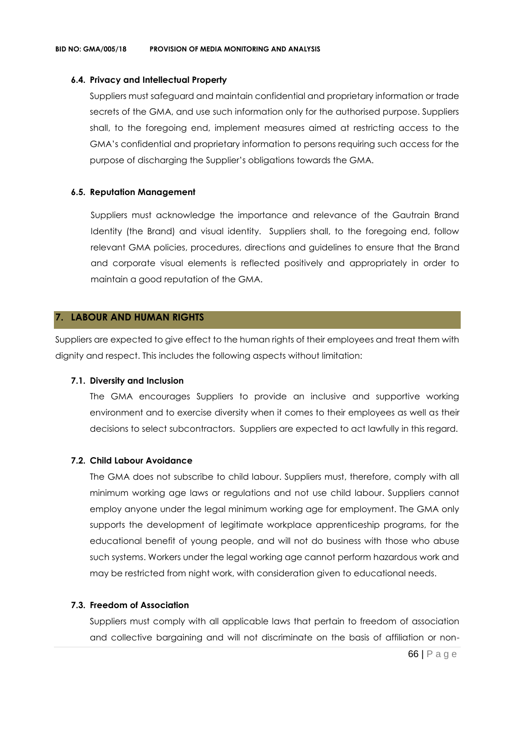#### **6.4. Privacy and Intellectual Property**

Suppliers must safeguard and maintain confidential and proprietary information or trade secrets of the GMA, and use such information only for the authorised purpose. Suppliers shall, to the foregoing end, implement measures aimed at restricting access to the GMA's confidential and proprietary information to persons requiring such access for the purpose of discharging the Supplier's obligations towards the GMA.

#### **6.5. Reputation Management**

Suppliers must acknowledge the importance and relevance of the Gautrain Brand Identity (the Brand) and visual identity. Suppliers shall, to the foregoing end, follow relevant GMA policies, procedures, directions and guidelines to ensure that the Brand and corporate visual elements is reflected positively and appropriately in order to maintain a good reputation of the GMA.

#### **7. LABOUR AND HUMAN RIGHTS**

Suppliers are expected to give effect to the human rights of their employees and treat them with dignity and respect. This includes the following aspects without limitation:

#### **7.1. Diversity and Inclusion**

The GMA encourages Suppliers to provide an inclusive and supportive working environment and to exercise diversity when it comes to their employees as well as their decisions to select subcontractors. Suppliers are expected to act lawfully in this regard.

#### **7.2. Child Labour Avoidance**

The GMA does not subscribe to child labour. Suppliers must, therefore, comply with all minimum working age laws or regulations and not use child labour. Suppliers cannot employ anyone under the legal minimum working age for employment. The GMA only supports the development of legitimate workplace apprenticeship programs, for the educational benefit of young people, and will not do business with those who abuse such systems. Workers under the legal working age cannot perform hazardous work and may be restricted from night work, with consideration given to educational needs.

#### **7.3. Freedom of Association**

Suppliers must comply with all applicable laws that pertain to freedom of association and collective bargaining and will not discriminate on the basis of affiliation or non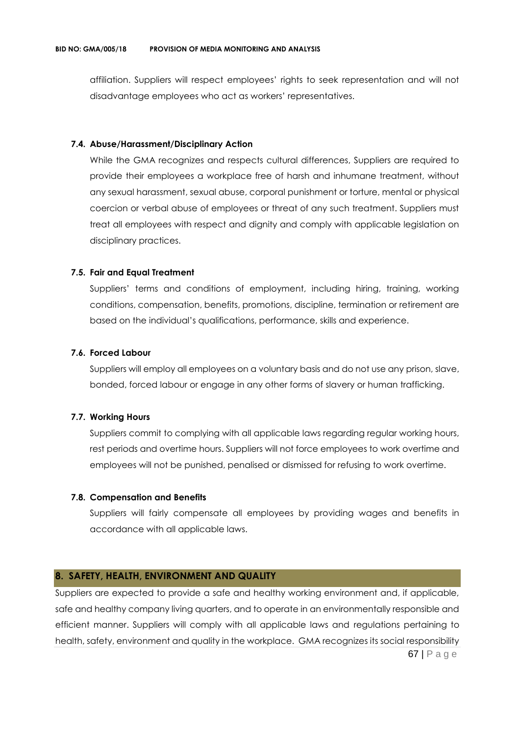affiliation. Suppliers will respect employees' rights to seek representation and will not disadvantage employees who act as workers' representatives.

#### **7.4. Abuse/Harassment/Disciplinary Action**

While the GMA recognizes and respects cultural differences, Suppliers are required to provide their employees a workplace free of harsh and inhumane treatment, without any sexual harassment, sexual abuse, corporal punishment or torture, mental or physical coercion or verbal abuse of employees or threat of any such treatment. Suppliers must treat all employees with respect and dignity and comply with applicable legislation on disciplinary practices.

#### **7.5. Fair and Equal Treatment**

Suppliers' terms and conditions of employment, including hiring, training, working conditions, compensation, benefits, promotions, discipline, termination or retirement are based on the individual's qualifications, performance, skills and experience.

#### **7.6. Forced Labour**

Suppliers will employ all employees on a voluntary basis and do not use any prison, slave, bonded, forced labour or engage in any other forms of slavery or human trafficking.

#### **7.7. Working Hours**

Suppliers commit to complying with all applicable laws regarding regular working hours, rest periods and overtime hours. Suppliers will not force employees to work overtime and employees will not be punished, penalised or dismissed for refusing to work overtime.

#### **7.8. Compensation and Benefits**

Suppliers will fairly compensate all employees by providing wages and benefits in accordance with all applicable laws.

#### **8. SAFETY, HEALTH, ENVIRONMENT AND QUALITY**

67 | P a g e Suppliers are expected to provide a safe and healthy working environment and, if applicable, safe and healthy company living quarters, and to operate in an environmentally responsible and efficient manner. Suppliers will comply with all applicable laws and regulations pertaining to health, safety, environment and quality in the workplace. GMA recognizes its social responsibility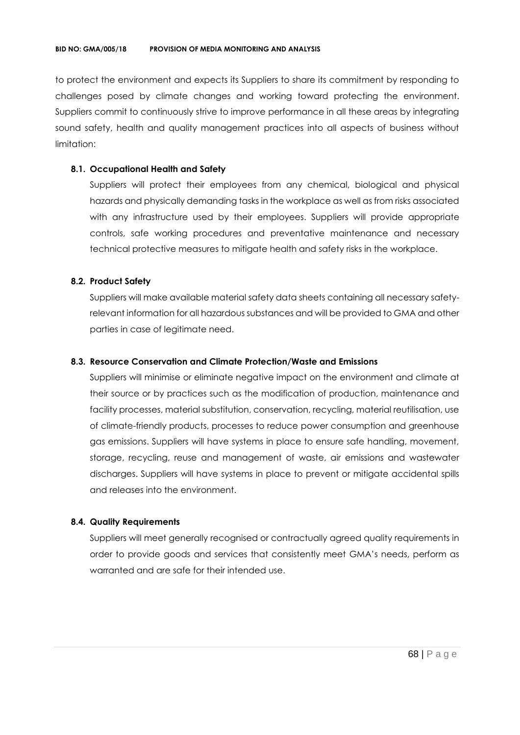to protect the environment and expects its Suppliers to share its commitment by responding to challenges posed by climate changes and working toward protecting the environment. Suppliers commit to continuously strive to improve performance in all these areas by integrating sound safety, health and quality management practices into all aspects of business without limitation:

#### **8.1. Occupational Health and Safety**

Suppliers will protect their employees from any chemical, biological and physical hazards and physically demanding tasks in the workplace as well as from risks associated with any infrastructure used by their employees. Suppliers will provide appropriate controls, safe working procedures and preventative maintenance and necessary technical protective measures to mitigate health and safety risks in the workplace.

#### **8.2. Product Safety**

Suppliers will make available material safety data sheets containing all necessary safetyrelevant information for all hazardous substances and will be provided to GMA and other parties in case of legitimate need.

#### **8.3. Resource Conservation and Climate Protection/Waste and Emissions**

Suppliers will minimise or eliminate negative impact on the environment and climate at their source or by practices such as the modification of production, maintenance and facility processes, material substitution, conservation, recycling, material reutilisation, use of climate-friendly products, processes to reduce power consumption and greenhouse gas emissions. Suppliers will have systems in place to ensure safe handling, movement, storage, recycling, reuse and management of waste, air emissions and wastewater discharges. Suppliers will have systems in place to prevent or mitigate accidental spills and releases into the environment.

#### **8.4. Quality Requirements**

Suppliers will meet generally recognised or contractually agreed quality requirements in order to provide goods and services that consistently meet GMA's needs, perform as warranted and are safe for their intended use.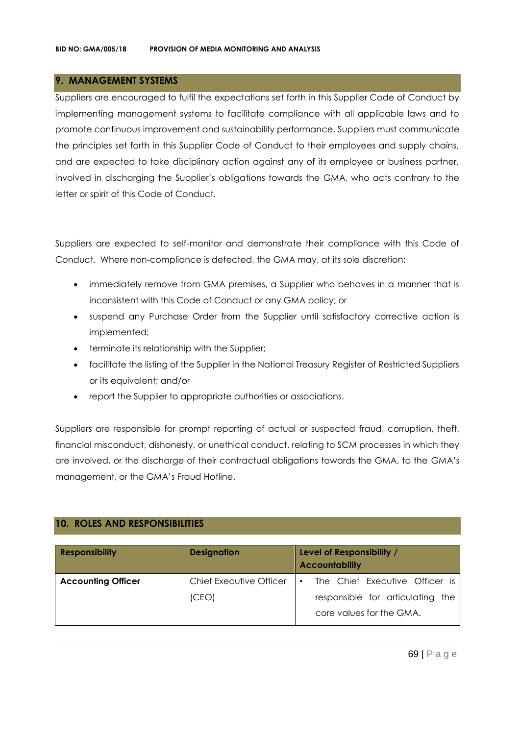#### **9. MANAGEMENT SYSTEMS**

Suppliers are encouraged to fulfil the expectations set forth in this Supplier Code of Conduct by implementing management systems to facilitate compliance with all applicable laws and to promote continuous improvement and sustainability performance. Suppliers must communicate the principles set forth in this Supplier Code of Conduct to their employees and supply chains, and are expected to take disciplinary action against any of its employee or business partner, involved in discharging the Supplier's obligations towards the GMA, who acts contrary to the letter or spirit of this Code of Conduct.

Suppliers are expected to self-monitor and demonstrate their compliance with this Code of Conduct. Where non-compliance is detected, the GMA may, at its sole discretion:

- immediately remove from GMA premises, a Supplier who behaves in a manner that is inconsistent with this Code of Conduct or any GMA policy; or
- suspend any Purchase Order from the Supplier until satisfactory corrective action is implemented;
- terminate its relationship with the Supplier;
- facilitate the listing of the Supplier in the National Treasury Register of Restricted Suppliers or its equivalent; and/or
- report the Supplier to appropriate authorities or associations.

Suppliers are responsible for prompt reporting of actual or suspected fraud, corruption, theft, financial misconduct, dishonesty, or unethical conduct, relating to SCM processes in which they are involved, or the discharge of their contractual obligations towards the GMA, to the GMA's management, or the GMA's Fraud Hotline.

#### **10. ROLES AND RESPONSIBILITIES**

| <b>Responsibility</b>     | <b>Designation</b>             | Level of Responsibility /<br><b>Accountability</b>           |
|---------------------------|--------------------------------|--------------------------------------------------------------|
| <b>Accounting Officer</b> | <b>Chief Executive Officer</b> | The Chief Executive Officer is<br>$\bullet$                  |
|                           | (CEO)                          | responsible for articulating the<br>core values for the GMA. |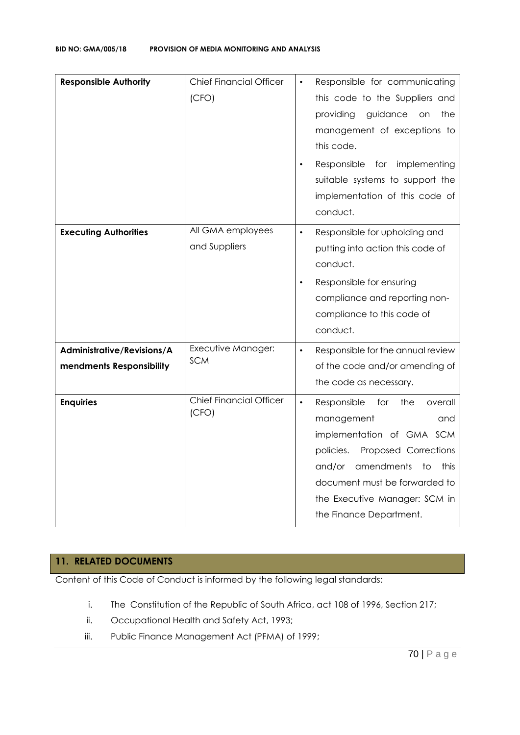| <b>Responsible Authority</b>                           | <b>Chief Financial Officer</b><br>(CFO) | Responsible for communicating<br>$\bullet$<br>this code to the Suppliers and<br>guidance<br>providing<br>the<br><b>on</b><br>management of exceptions to<br>this code.<br>Responsible for implementing<br>suitable systems to support the<br>implementation of this code of<br>conduct. |
|--------------------------------------------------------|-----------------------------------------|-----------------------------------------------------------------------------------------------------------------------------------------------------------------------------------------------------------------------------------------------------------------------------------------|
| <b>Executing Authorities</b>                           | All GMA employees<br>and Suppliers      | Responsible for upholding and<br>$\bullet$<br>putting into action this code of<br>conduct.<br>Responsible for ensuring<br>$\bullet$<br>compliance and reporting non-<br>compliance to this code of<br>conduct.                                                                          |
| Administrative/Revisions/A<br>mendments Responsibility | Executive Manager:<br><b>SCM</b>        | Responsible for the annual review<br>$\bullet$<br>of the code and/or amending of<br>the code as necessary.                                                                                                                                                                              |
| <b>Enquiries</b>                                       | <b>Chief Financial Officer</b><br>(CFO) | $\bullet$<br>Responsible<br>for<br>the<br>overall<br>management<br>and<br>implementation of GMA SCM<br>Proposed Corrections<br>policies.<br>amendments<br>and/or<br>to<br>this<br>document must be forwarded to<br>the Executive Manager: SCM in<br>the Finance Department.             |

#### **11. RELATED DOCUMENTS**

Content of this Code of Conduct is informed by the following legal standards:

- i. The Constitution of the Republic of South Africa, act 108 of 1996, Section 217;
- ii. Occupational Health and Safety Act, 1993;
- iii. Public Finance Management Act (PFMA) of 1999;